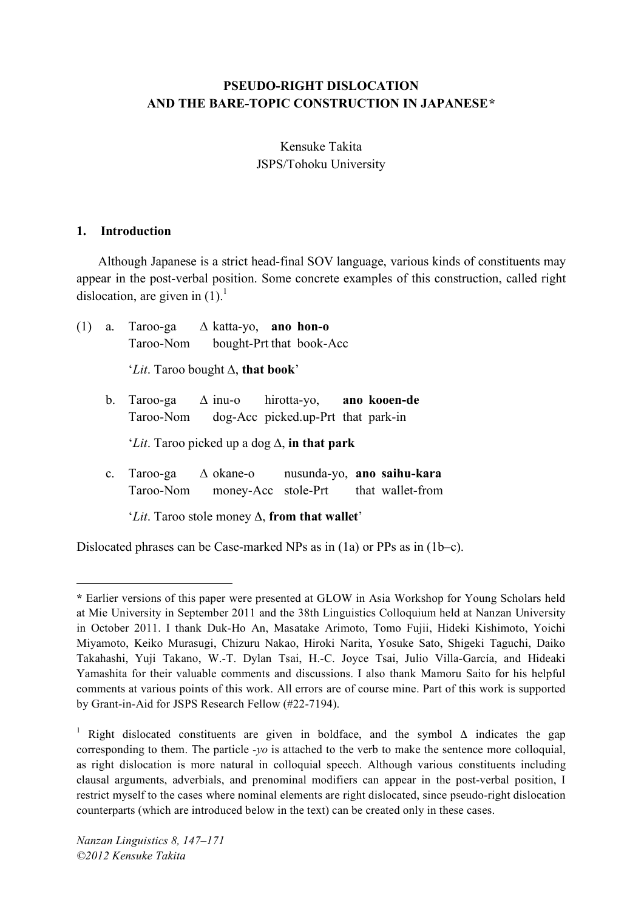## **PSEUDO-RIGHT DISLOCATION AND THE BARE-TOPIC CONSTRUCTION IN JAPANESE\***

# Kensuke Takita JSPS/Tohoku University

### **1. Introduction**

 $\overline{a}$ 

Although Japanese is a strict head-final SOV language, various kinds of constituents may appear in the post-verbal position. Some concrete examples of this construction, called right dislocation, are given in  $(1)$ .<sup>1</sup>

(1) a. Taroo-ga ∆ katta-yo, **ano hon-o** Taroo-Nom bought-Prt that book-Acc '*Lit*. Taroo bought ∆, **that book**' b. Taroo-ga ∆ inu-o hirotta-yo, **ano kooen-de** Taroo-Nom dog-Acc picked.up-Prt that park-in '*Lit*. Taroo picked up a dog ∆, **in that park** c. Taroo-ga ∆ okane-o nusunda-yo, **ano saihu-kara** Taroo-Nom money-Acc stole-Prt that wallet-from '*Lit*. Taroo stole money Δ, **from that wallet**'

Dislocated phrases can be Case-marked NPs as in (1a) or PPs as in (1b–c).

**<sup>\*</sup>** Earlier versions of this paper were presented at GLOW in Asia Workshop for Young Scholars held at Mie University in September 2011 and the 38th Linguistics Colloquium held at Nanzan University in October 2011. I thank Duk-Ho An, Masatake Arimoto, Tomo Fujii, Hideki Kishimoto, Yoichi Miyamoto, Keiko Murasugi, Chizuru Nakao, Hiroki Narita, Yosuke Sato, Shigeki Taguchi, Daiko Takahashi, Yuji Takano, W.-T. Dylan Tsai, H.-C. Joyce Tsai, Julio Villa-García, and Hideaki Yamashita for their valuable comments and discussions. I also thank Mamoru Saito for his helpful comments at various points of this work. All errors are of course mine. Part of this work is supported by Grant-in-Aid for JSPS Research Fellow (#22-7194).

<sup>&</sup>lt;sup>1</sup> Right dislocated constituents are given in boldface, and the symbol  $\Delta$  indicates the gap corresponding to them. The particle *-yo* is attached to the verb to make the sentence more colloquial, as right dislocation is more natural in colloquial speech. Although various constituents including clausal arguments, adverbials, and prenominal modifiers can appear in the post-verbal position, I restrict myself to the cases where nominal elements are right dislocated, since pseudo-right dislocation counterparts (which are introduced below in the text) can be created only in these cases.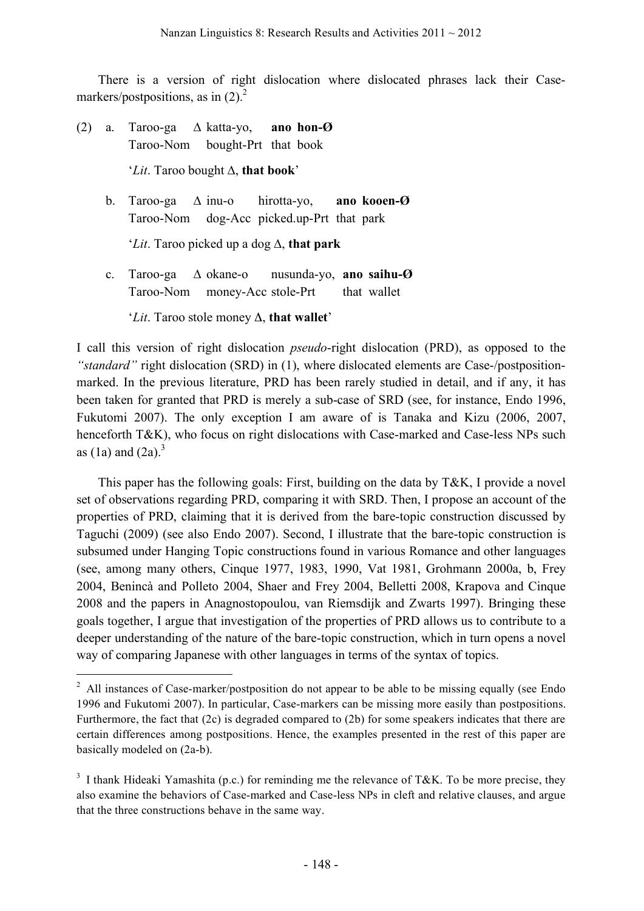There is a version of right dislocation where dislocated phrases lack their Casemarkers/postpositions, as in  $(2)$ .<sup>2</sup>

(2) a. Taroo-ga ∆ katta-yo, **ano hon-Ø** Taroo-Nom bought-Prt that book '*Lit*. Taroo bought ∆, **that book**' b. Taroo-ga ∆ inu-o hirotta-yo, **ano kooen-Ø** Taroo-Nom dog-Acc picked.up-Prt that park

'*Lit*. Taroo picked up a dog ∆, **that park**

c. Taroo-ga ∆ okane-o nusunda-yo, **ano saihu-Ø** Taroo-Nom money-Acc stole-Prt that wallet

'*Lit*. Taroo stole money Δ, **that wallet**'

I call this version of right dislocation *pseudo*-right dislocation (PRD), as opposed to the *"standard"* right dislocation (SRD) in (1), where dislocated elements are Case-/postpositionmarked. In the previous literature, PRD has been rarely studied in detail, and if any, it has been taken for granted that PRD is merely a sub-case of SRD (see, for instance, Endo 1996, Fukutomi 2007). The only exception I am aware of is Tanaka and Kizu (2006, 2007, henceforth T&K), who focus on right dislocations with Case-marked and Case-less NPs such as  $(1a)$  and  $(2a)$ .<sup>3</sup>

This paper has the following goals: First, building on the data by T&K, I provide a novel set of observations regarding PRD, comparing it with SRD. Then, I propose an account of the properties of PRD, claiming that it is derived from the bare-topic construction discussed by Taguchi (2009) (see also Endo 2007). Second, I illustrate that the bare-topic construction is subsumed under Hanging Topic constructions found in various Romance and other languages (see, among many others, Cinque 1977, 1983, 1990, Vat 1981, Grohmann 2000a, b, Frey 2004, Benincà and Polleto 2004, Shaer and Frey 2004, Belletti 2008, Krapova and Cinque 2008 and the papers in Anagnostopoulou, van Riemsdijk and Zwarts 1997). Bringing these goals together, I argue that investigation of the properties of PRD allows us to contribute to a deeper understanding of the nature of the bare-topic construction, which in turn opens a novel way of comparing Japanese with other languages in terms of the syntax of topics.

<sup>&</sup>lt;sup>2</sup> All instances of Case-marker/postposition do not appear to be able to be missing equally (see Endo 1996 and Fukutomi 2007). In particular, Case-markers can be missing more easily than postpositions. Furthermore, the fact that (2c) is degraded compared to (2b) for some speakers indicates that there are certain differences among postpositions. Hence, the examples presented in the rest of this paper are basically modeled on (2a-b).

<sup>&</sup>lt;sup>3</sup> I thank Hideaki Yamashita (p.c.) for reminding me the relevance of T&K. To be more precise, they also examine the behaviors of Case-marked and Case-less NPs in cleft and relative clauses, and argue that the three constructions behave in the same way.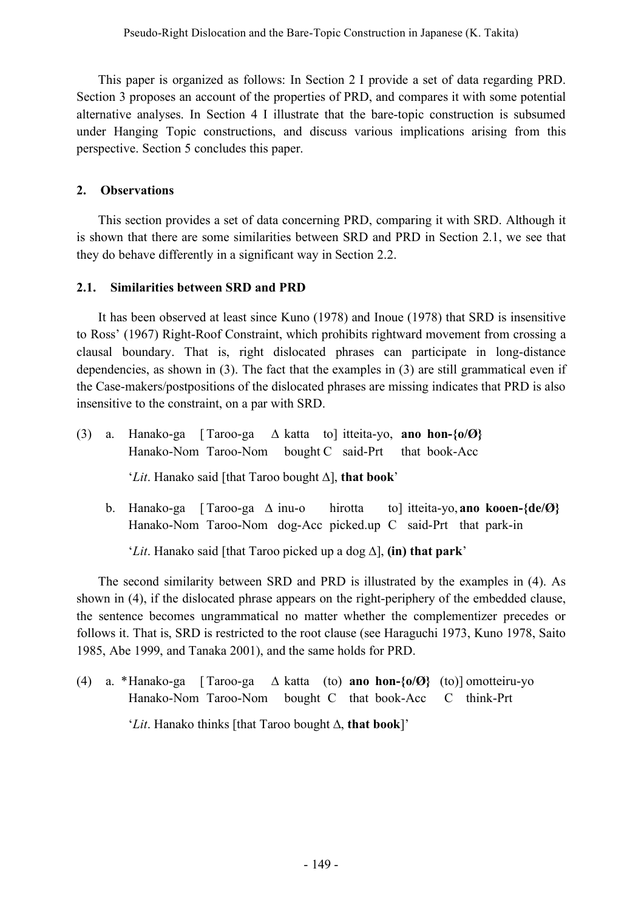This paper is organized as follows: In Section 2 I provide a set of data regarding PRD. Section 3 proposes an account of the properties of PRD, and compares it with some potential alternative analyses. In Section 4 I illustrate that the bare-topic construction is subsumed under Hanging Topic constructions, and discuss various implications arising from this perspective. Section 5 concludes this paper.

## **2. Observations**

This section provides a set of data concerning PRD, comparing it with SRD. Although it is shown that there are some similarities between SRD and PRD in Section 2.1, we see that they do behave differently in a significant way in Section 2.2.

# **2.1. Similarities between SRD and PRD**

It has been observed at least since Kuno (1978) and Inoue (1978) that SRD is insensitive to Ross' (1967) Right-Roof Constraint, which prohibits rightward movement from crossing a clausal boundary. That is, right dislocated phrases can participate in long-distance dependencies, as shown in (3). The fact that the examples in (3) are still grammatical even if the Case-makers/postpositions of the dislocated phrases are missing indicates that PRD is also insensitive to the constraint, on a par with SRD.

- (3) a. Hanako-ga [ Taroo-ga ∆ katta to] itteita-yo, **ano hon-{o/Ø}** Hanako-Nom Taroo-Nom bought C said-Prt that book-Acc '*Lit*. Hanako said [that Taroo bought ∆], **that book**'
	- b. Hanako-ga [ Taroo-ga ∆ inu-o hirotta to] itteita-yo, **ano kooen-{de/Ø}** Hanako-Nom Taroo-Nom dog-Acc picked.up C said-Prt that park-in

'*Lit*. Hanako said [that Taroo picked up a dog ∆], **(in) that park**'

The second similarity between SRD and PRD is illustrated by the examples in (4). As shown in (4), if the dislocated phrase appears on the right-periphery of the embedded clause, the sentence becomes ungrammatical no matter whether the complementizer precedes or follows it. That is, SRD is restricted to the root clause (see Haraguchi 1973, Kuno 1978, Saito 1985, Abe 1999, and Tanaka 2001), and the same holds for PRD.

(4) a. \*Hanako-ga [ Taroo-ga ∆ katta (to) **ano hon-{o/Ø}** (to)] omotteiru-yo Hanako-Nom Taroo-Nom bought C that book-Acc C think-Prt

'*Lit*. Hanako thinks [that Taroo bought ∆, **that book**]'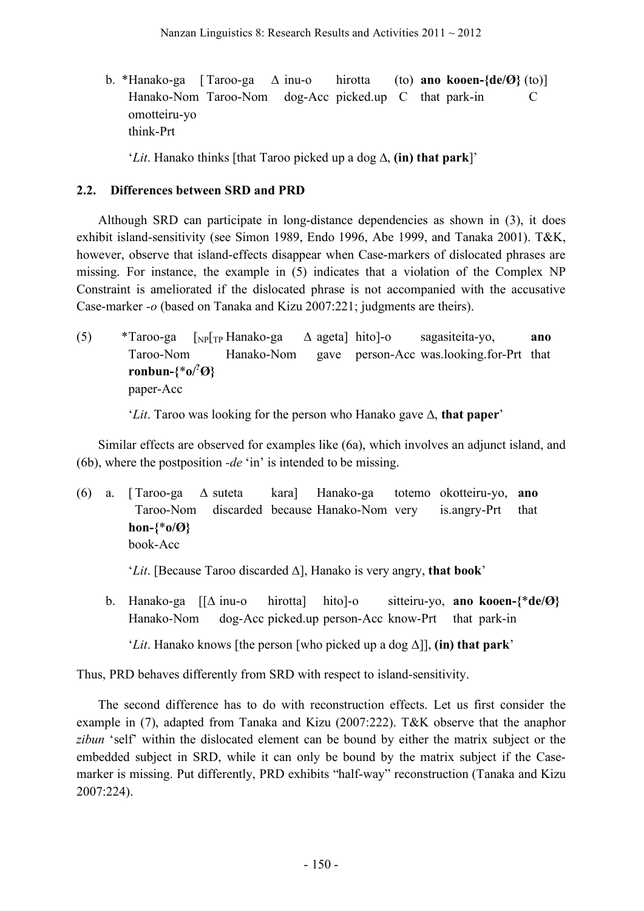b. \*Hanako-ga [ Taroo-ga ∆ inu-o hirotta (to) **ano kooen-{de/Ø}** (to)] Hanako-Nom Taroo-Nom dog-Acc picked.up  $C$  that park-in  $C$ omotteiru-yo think-Prt

'*Lit*. Hanako thinks [that Taroo picked up a dog ∆, **(in) that park**]'

### **2.2. Differences between SRD and PRD**

Although SRD can participate in long-distance dependencies as shown in (3), it does exhibit island-sensitivity (see Simon 1989, Endo 1996, Abe 1999, and Tanaka 2001). T&K, however, observe that island-effects disappear when Case-markers of dislocated phrases are missing. For instance, the example in (5) indicates that a violation of the Complex NP Constraint is ameliorated if the dislocated phrase is not accompanied with the accusative Case-marker *-o* (based on Tanaka and Kizu 2007:221; judgments are theirs).

(5) \*Taroo-ga [NP[TP Hanako-ga ∆ ageta] hito]-o sagasiteita-yo, **ano** Taroo-Nom Hanako-Nom gave person-Acc was.looking.for-Prt that **ronbun-{**\***o/ ? Ø}** paper-Acc

'*Lit*. Taroo was looking for the person who Hanako gave ∆, **that paper**'

Similar effects are observed for examples like (6a), which involves an adjunct island, and (6b), where the postposition *-de* 'in' is intended to be missing.

(6) a. [ Taroo-ga ∆ suteta kara] Hanako-ga totemo okotteiru-yo, **ano** Taroo-Nom discarded because Hanako-Nom very is.angry-Prt that **hon-{**\***o/Ø}** book-Acc

'*Lit*. [Because Taroo discarded ∆], Hanako is very angry, **that book**'

b. Hanako-ga [[∆ inu-o hirotta] hito]-o sitteiru-yo, **ano kooen-{**\***de/Ø}** Hanako-Nom dog-Acc picked.up person-Acc know-Prt that park-in

'*Lit*. Hanako knows [the person [who picked up a dog ∆]], **(in) that park**'

Thus, PRD behaves differently from SRD with respect to island-sensitivity.

The second difference has to do with reconstruction effects. Let us first consider the example in (7), adapted from Tanaka and Kizu (2007:222). T&K observe that the anaphor *zibun* 'self' within the dislocated element can be bound by either the matrix subject or the embedded subject in SRD, while it can only be bound by the matrix subject if the Casemarker is missing. Put differently, PRD exhibits "half-way" reconstruction (Tanaka and Kizu 2007:224).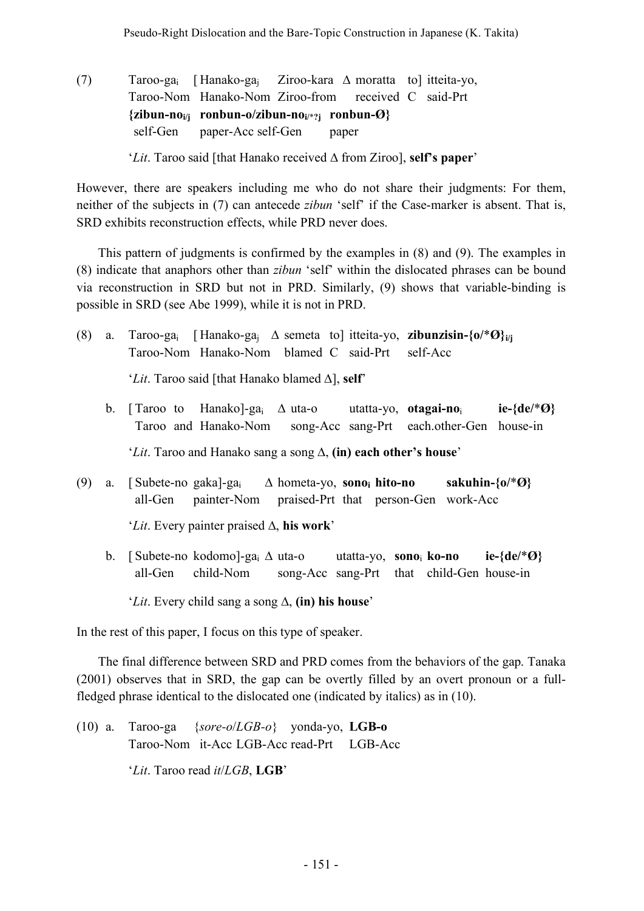(7) Taroo-gai [ Hanako-gaj Ziroo-kara ∆ moratta to] itteita-yo, Taroo-Nom Hanako-Nom Ziroo-from received C said-Prt **{zibun-noi/j ronbun-o/zibun-noi/**\***?j ronbun-Ø} {**self-Gen paper-Acc self-Gen paper

'*Lit*. Taroo said [that Hanako received ∆ from Ziroo], **self's paper**'

However, there are speakers including me who do not share their judgments: For them, neither of the subjects in (7) can antecede *zibun* 'self' if the Case-marker is absent. That is, SRD exhibits reconstruction effects, while PRD never does.

This pattern of judgments is confirmed by the examples in (8) and (9). The examples in (8) indicate that anaphors other than *zibun* 'self' within the dislocated phrases can be bound via reconstruction in SRD but not in PRD. Similarly, (9) shows that variable-binding is possible in SRD (see Abe 1999), while it is not in PRD.

- (8) a. Taroo-gai [ Hanako-gaj ∆ semeta to] itteita-yo, **zibunzisin-{o/**\***Ø}i/j** Taroo-Nom Hanako-Nom blamed C said-Prt self-Acc '*Lit*. Taroo said [that Hanako blamed ∆], **self**'
	- b. [ Taroo to Hanako]-gai ∆ uta-o utatta-yo, **otagai-no**<sup>i</sup> **ie-{de/**\***Ø}** Taroo and Hanako-Nom song-Acc sang-Prt each.other-Gen house-in '*Lit*. Taroo and Hanako sang a song ∆, **(in) each other's house**'
- (9) a. [ Subete-no gaka]-gai ∆ hometa-yo, **sonoi hito-no sakuhin-{o/**\***Ø}** all-Gen painter-Nom praised-Prt that person-Gen work-Acc '*Lit*. Every painter praised ∆, **his work**'
	- b. [ Subete-no kodomo]-gai ∆ uta-o utatta-yo, **sono**<sup>i</sup> **ko-no ie-{de/**\***Ø}** all-Gen child-Nom song-Acc sang-Prt that child-Gen house-in '*Lit*. Every child sang a song ∆, **(in) his house**'

In the rest of this paper, I focus on this type of speaker.

The final difference between SRD and PRD comes from the behaviors of the gap. Tanaka (2001) observes that in SRD, the gap can be overtly filled by an overt pronoun or a fullfledged phrase identical to the dislocated one (indicated by italics) as in (10).

(10) a. Taroo-ga {*sore-o*/*LGB-o*} yonda-yo, **LGB-o** Taroo-Nom it-Acc LGB-Acc read-Prt LGB-Acc

'*Lit*. Taroo read *it*/*LGB*, **LGB**'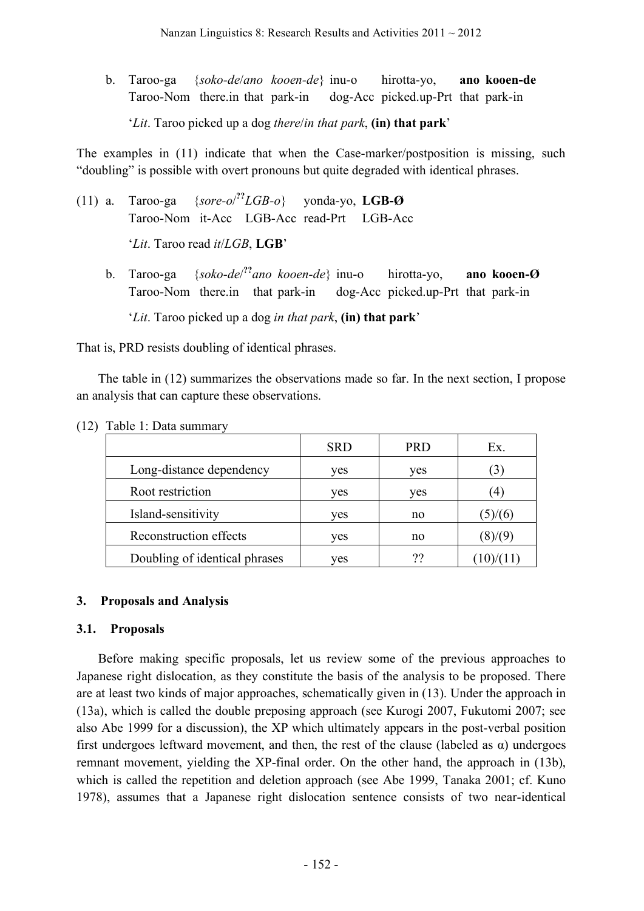b. Taroo-ga {*soko-de*/*ano kooen-de*} inu-o hirotta-yo, **ano kooen-de** Taroo-Nom there.in that park-in dog-Acc picked.up-Prt that park-in '*Lit*. Taroo picked up a dog *there*/*in that park*, **(in) that park**'

The examples in (11) indicate that when the Case-marker/postposition is missing, such "doubling" is possible with overt pronouns but quite degraded with identical phrases.

(11) a. Taroo-ga {*sore-o*/ **??** *LGB-o*} yonda-yo, **LGB-Ø** Taroo-Nom it-Acc LGB-Acc read-Prt LGB-Acc

'*Lit*. Taroo read *it*/*LGB*, **LGB**'

b. Taroo-ga {*soko-de*/ **??** *ano kooen-de*} inu-o hirotta-yo, **ano kooen-Ø** Taroo-Nom there.in that park-in dog-Acc picked.up-Prt that park-in '*Lit*. Taroo picked up a dog *in that park*, **(in) that park**'

That is, PRD resists doubling of identical phrases.

The table in (12) summarizes the observations made so far. In the next section, I propose an analysis that can capture these observations.

|                               | <b>SRD</b> | <b>PRD</b> | Ex.            |
|-------------------------------|------------|------------|----------------|
| Long-distance dependency      | ves        | yes        | $\mathfrak{I}$ |
| Root restriction              | yes        | yes        | (4)            |
| Island-sensitivity            | yes        | no         | 5)/(6          |
| Reconstruction effects        | yes        | no         |                |
| Doubling of identical phrases | ves        | ??         |                |

(12) Table 1: Data summary

## **3. Proposals and Analysis**

## **3.1. Proposals**

Before making specific proposals, let us review some of the previous approaches to Japanese right dislocation, as they constitute the basis of the analysis to be proposed. There are at least two kinds of major approaches, schematically given in (13). Under the approach in (13a), which is called the double preposing approach (see Kurogi 2007, Fukutomi 2007; see also Abe 1999 for a discussion), the XP which ultimately appears in the post-verbal position first undergoes leftward movement, and then, the rest of the clause (labeled as  $\alpha$ ) undergoes remnant movement, yielding the XP-final order. On the other hand, the approach in (13b), which is called the repetition and deletion approach (see Abe 1999, Tanaka 2001; cf. Kuno 1978), assumes that a Japanese right dislocation sentence consists of two near-identical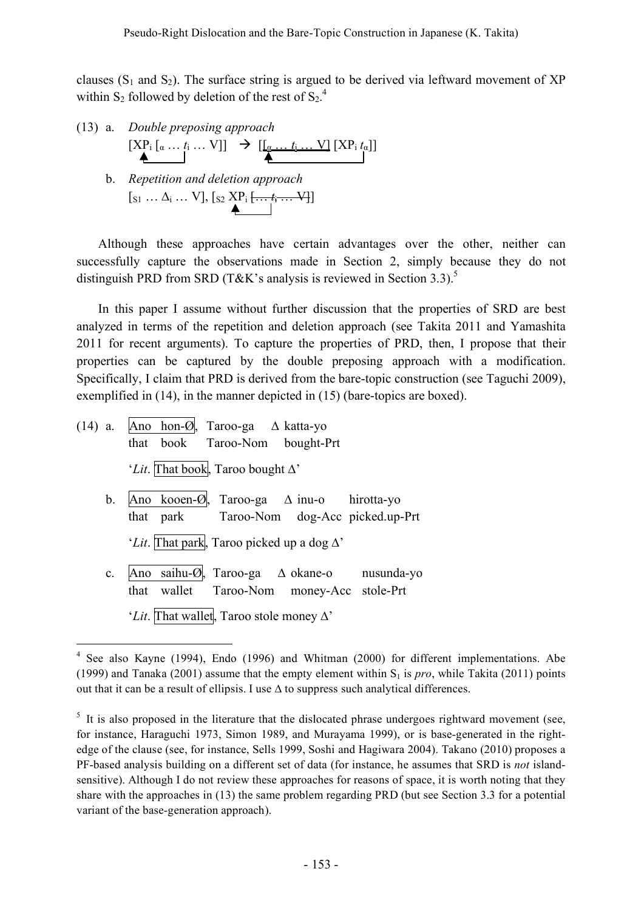clauses ( $S_1$  and  $S_2$ ). The surface string is argued to be derived via leftward movement of XP within  $S_2$  followed by deletion of the rest of  $S_2$ .<sup>4</sup>

- (13) a. *Double preposing approach*  $[XP_i [ \alpha ... t_i ... V]] \rightarrow [[ \alpha ... t_i ... V] [XP_i t_{\alpha}]]$ b. *Repetition and deletion approach*
	- $[s_1 \ldots \Delta_i \ldots V], [s_2 \times P_i \underbrace{+ \ldots +}_{ } t_i \ldots V]$

Although these approaches have certain advantages over the other, neither can successfully capture the observations made in Section 2, simply because they do not distinguish PRD from SRD (T&K's analysis is reviewed in Section 3.3).<sup>5</sup>

In this paper I assume without further discussion that the properties of SRD are best analyzed in terms of the repetition and deletion approach (see Takita 2011 and Yamashita 2011 for recent arguments). To capture the properties of PRD, then, I propose that their properties can be captured by the double preposing approach with a modification. Specifically, I claim that PRD is derived from the bare-topic construction (see Taguchi 2009), exemplified in (14), in the manner depicted in (15) (bare-topics are boxed).

(14) a. Ano hon-Ø, Taroo-ga ∆ katta-yo that book Taroo-Nom bought-Prt '*Lit*. That book, Taroo bought ∆' b. Ano kooen-Ø, Taroo-ga ∆ inu-o hirotta-yo that park Taroo-Nom dog-Acc picked.up-Prt '*Lit*. That park, Taroo picked up a dog ∆' c. Ano saihu-Ø, Taroo-ga ∆ okane-o nusunda-yo that wallet Taroo-Nom money-Acc stole-Prt '*Lit*. That wallet, Taroo stole money ∆'

 <sup>4</sup> See also Kayne (1994), Endo (1996) and Whitman (2000) for different implementations. Abe (1999) and Tanaka (2001) assume that the empty element within  $S_1$  is *pro*, while Takita (2011) points out that it can be a result of ellipsis. I use ∆ to suppress such analytical differences.

 $<sup>5</sup>$  It is also proposed in the literature that the dislocated phrase undergoes rightward movement (see,</sup> for instance, Haraguchi 1973, Simon 1989, and Murayama 1999), or is base-generated in the rightedge of the clause (see, for instance, Sells 1999, Soshi and Hagiwara 2004). Takano (2010) proposes a PF-based analysis building on a different set of data (for instance, he assumes that SRD is *not* islandsensitive). Although I do not review these approaches for reasons of space, it is worth noting that they share with the approaches in (13) the same problem regarding PRD (but see Section 3.3 for a potential variant of the base-generation approach).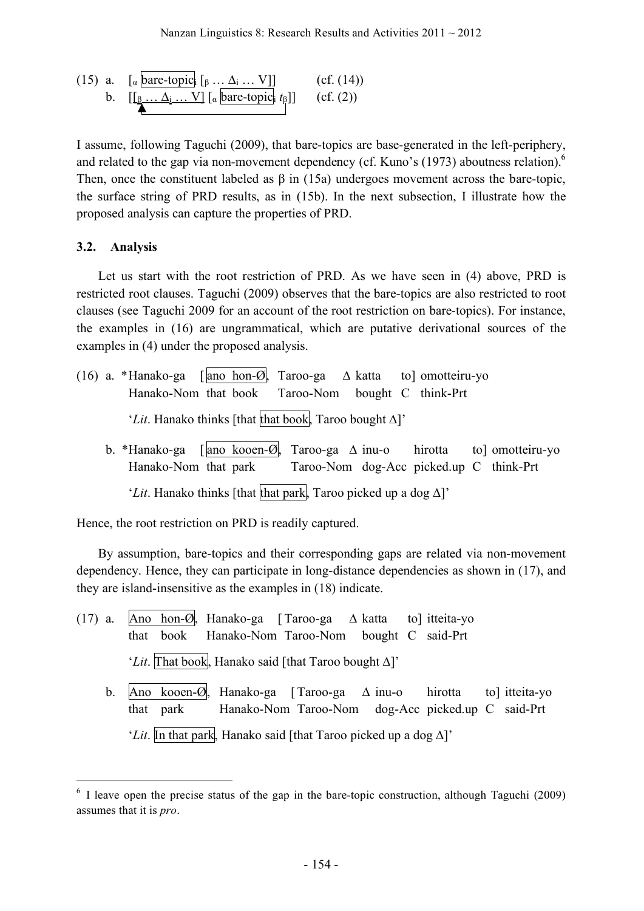(15) a. 
$$
\left[\alpha \frac{\text{bare-topic}}{\beta} \left[ \beta \dots \Delta_i \dots V \right] \right]
$$
 (cf. (14))  
b.  $\left[\left[\beta \dots \Delta_i \dots V\right] \left[ \alpha \frac{\text{bare-topic}}{\beta} t_{\beta} \right] \right]$  (cf. (2))

I assume, following Taguchi (2009), that bare-topics are base-generated in the left-periphery, and related to the gap via non-movement dependency (cf. Kuno's  $(1973)$  aboutness relation).<sup>6</sup> Then, once the constituent labeled as  $\beta$  in (15a) undergoes movement across the bare-topic, the surface string of PRD results, as in (15b). In the next subsection, I illustrate how the proposed analysis can capture the properties of PRD.

#### **3.2. Analysis**

Let us start with the root restriction of PRD. As we have seen in (4) above, PRD is restricted root clauses. Taguchi (2009) observes that the bare-topics are also restricted to root clauses (see Taguchi 2009 for an account of the root restriction on bare-topics). For instance, the examples in (16) are ungrammatical, which are putative derivational sources of the examples in (4) under the proposed analysis.

- (16) a. \*Hanako-ga [|ano hon-Ø, Taroo-ga  $\Delta$  katta to] omotteiru-vo Hanako-Nom that book Taroo-Nom bought C think-Prt '*Lit*. Hanako thinks [that that book, Taroo bought ∆]'
	- b. \*Hanako-ga [|ano kooen-Ø|, Taroo-ga  $\Delta$  inu-o hirotta to] omotteiru-yo Hanako-Nom that park Taroo-Nom dog-Acc picked.up C think-Prt

'*Lit*. Hanako thinks [that that park, Taroo picked up a dog  $\Delta$ ]'

Hence, the root restriction on PRD is readily captured.

By assumption, bare-topics and their corresponding gaps are related via non-movement dependency. Hence, they can participate in long-distance dependencies as shown in (17), and they are island-insensitive as the examples in (18) indicate.

(17) a. Ano hon-Ø, Hanako-ga [ Taroo-ga ∆ katta to] itteita-yo that book Hanako-Nom Taroo-Nom bought C said-Prt '*Lit*. That book, Hanako said [that Taroo bought ∆]' b. Ano kooen-Ø, Hanako-ga [ Taroo-ga ∆ inu-o hirotta to] itteita-yo that park Hanako-Nom Taroo-Nom dog-Acc picked.up C said-Prt

<sup>&#</sup>x27;*Lit*. In that park, Hanako said [that Taroo picked up a dog ∆]'

 $6$  I leave open the precise status of the gap in the bare-topic construction, although Taguchi (2009) assumes that it is *pro*.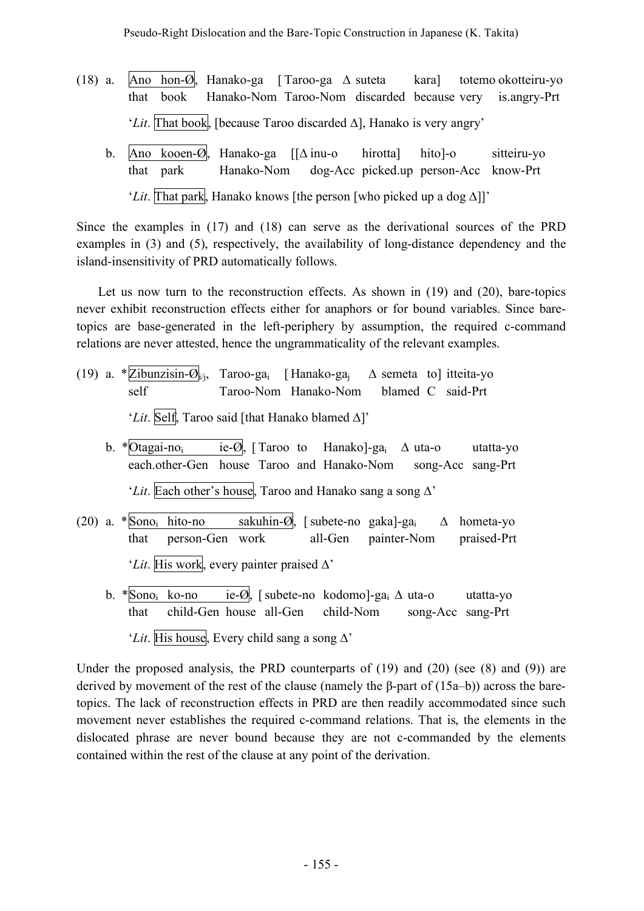- (18) a. Ano hon-Ø, Hanako-ga [ Taroo-ga ∆ suteta kara] totemo okotteiru-yo that book Hanako-Nom Taroo-Nom discarded because very is.angry-Prt '*Lit*. That book, [because Taroo discarded ∆], Hanako is very angry'
	- b. Ano kooen-Ø, Hanako-ga [[∆ inu-o hirotta] hito]-o sitteiru-yo that park Hanako-Nom dog-Acc picked.up person-Acc know-Prt '*Lit*. That park, Hanako knows [the person [who picked up a dog ∆]]'

Since the examples in (17) and (18) can serve as the derivational sources of the PRD examples in (3) and (5), respectively, the availability of long-distance dependency and the island-insensitivity of PRD automatically follows.

Let us now turn to the reconstruction effects. As shown in (19) and (20), bare-topics never exhibit reconstruction effects either for anaphors or for bound variables. Since baretopics are base-generated in the left-periphery by assumption, the required c-command relations are never attested, hence the ungrammaticality of the relevant examples.

(19) a. \*Zibunzisin-Ø<sub>i/j</sub>, Taroo-ga<sub>i</sub> [ Hanako-ga<sub>i</sub> ∆ semeta to] itteita-yo self Taroo-Nom Hanako-Nom blamed C said-Prt

'*Lit*. Self, Taroo said [that Hanako blamed ∆]'

- b. \*Otagai-noi ie-Ø, [ Taroo to Hanako]-gai ∆ uta-o utatta-yo each.other-Gen house Taroo and Hanako-Nom song-Acc sang-Prt '*Lit*. Each other's house, Taroo and Hanako sang a song ∆'
- (20) a. \*Sonoi hito-no sakuhin-Ø, [subete-no gaka]-gai ∆ hometa-yo that person-Gen work all-Gen painter-Nom praised-Prt '*Lit*. His work, every painter praised ∆'
	- b. \* $\text{Sono}_i$  ko-no ie-Ø, [subete-no kodomo]-ga<sub>i</sub>  $\Delta$  uta-o utatta-yo that child-Gen house all-Gen child-Nom song-Acc sang-Prt '*Lit*. His house, Every child sang a song ∆'

Under the proposed analysis, the PRD counterparts of (19) and (20) (see (8) and (9)) are derived by movement of the rest of the clause (namely the β-part of (15a–b)) across the baretopics. The lack of reconstruction effects in PRD are then readily accommodated since such movement never establishes the required c-command relations. That is, the elements in the dislocated phrase are never bound because they are not c-commanded by the elements contained within the rest of the clause at any point of the derivation.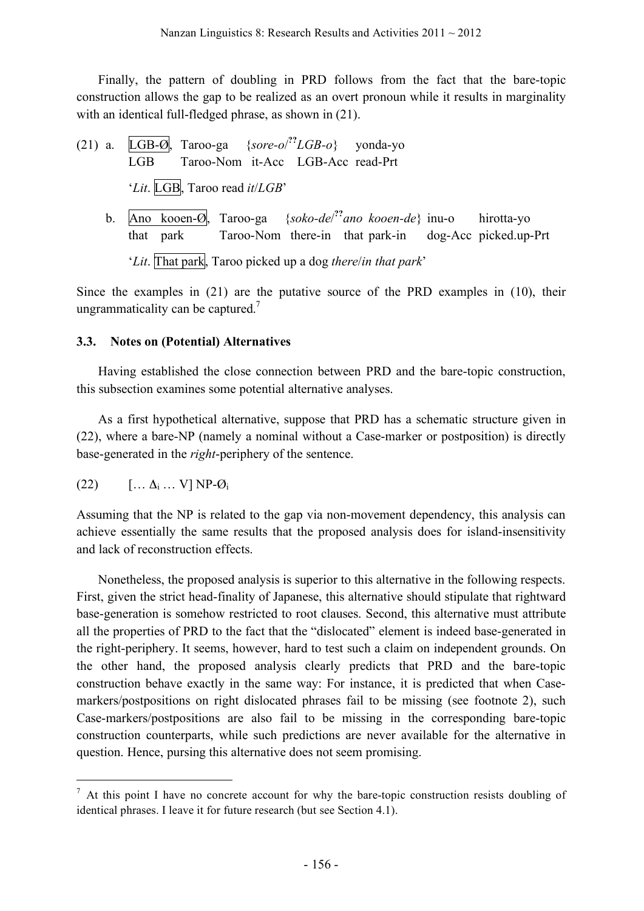Finally, the pattern of doubling in PRD follows from the fact that the bare-topic construction allows the gap to be realized as an overt pronoun while it results in marginality with an identical full-fledged phrase, as shown in  $(21)$ .

(21) a. LGB-Ø, Taroo-ga {*sore-o*/  $\{sore-o'\ {}^?LGB-o\}$ *LGB-o*} yonda-yo LGB Taroo-Nom it-Acc LGB-Acc read-Prt '*Lit*. LGB, Taroo read *it*/*LGB*' b. Ano kooen-Ø, Taroo-ga **??** *ano kooen-de*} inu-o hirotta-yo that park Taroo-Nom there-in that park-in dog-Acc picked.up-Prt '*Lit*. That park, Taroo picked up a dog *there*/*in that park*'

Since the examples in (21) are the putative source of the PRD examples in (10), their ungrammaticality can be captured.<sup>7</sup>

### **3.3. Notes on (Potential) Alternatives**

Having established the close connection between PRD and the bare-topic construction, this subsection examines some potential alternative analyses.

As a first hypothetical alternative, suppose that PRD has a schematic structure given in (22), where a bare-NP (namely a nominal without a Case-marker or postposition) is directly base-generated in the *right*-periphery of the sentence.

(22)  $\left[\dots \Delta_i \dots V\right] NP \text{-} \mathcal{O}_i$ 

Assuming that the NP is related to the gap via non-movement dependency, this analysis can achieve essentially the same results that the proposed analysis does for island-insensitivity and lack of reconstruction effects.

Nonetheless, the proposed analysis is superior to this alternative in the following respects. First, given the strict head-finality of Japanese, this alternative should stipulate that rightward base-generation is somehow restricted to root clauses. Second, this alternative must attribute all the properties of PRD to the fact that the "dislocated" element is indeed base-generated in the right-periphery. It seems, however, hard to test such a claim on independent grounds. On the other hand, the proposed analysis clearly predicts that PRD and the bare-topic construction behave exactly in the same way: For instance, it is predicted that when Casemarkers/postpositions on right dislocated phrases fail to be missing (see footnote 2), such Case-markers/postpositions are also fail to be missing in the corresponding bare-topic construction counterparts, while such predictions are never available for the alternative in question. Hence, pursing this alternative does not seem promising.

 $<sup>7</sup>$  At this point I have no concrete account for why the bare-topic construction resists doubling of</sup> identical phrases. I leave it for future research (but see Section 4.1).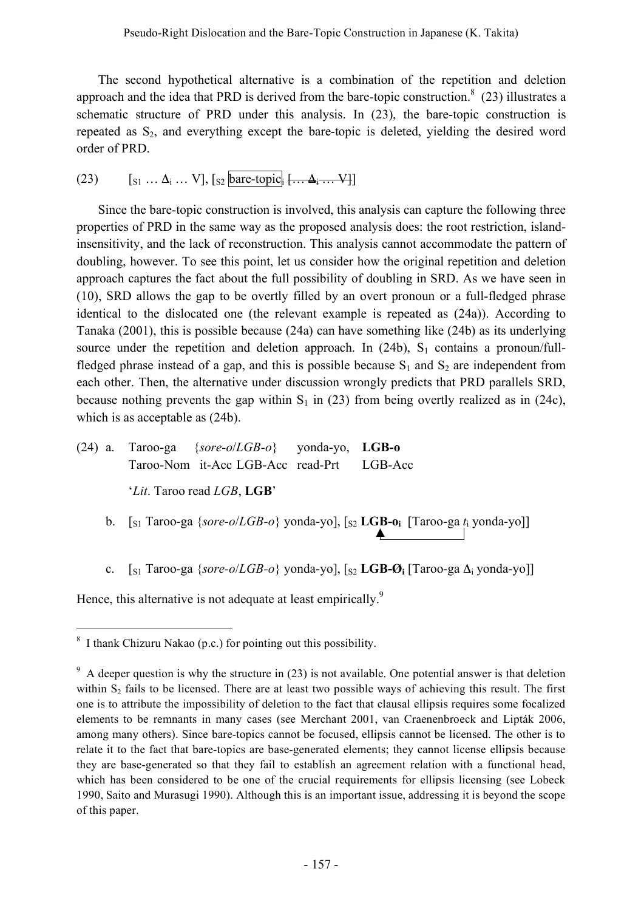The second hypothetical alternative is a combination of the repetition and deletion approach and the idea that PRD is derived from the bare-topic construction.<sup>8</sup> (23) illustrates a schematic structure of PRD under this analysis. In (23), the bare-topic construction is repeated as  $S_2$ , and everything except the bare-topic is deleted, yielding the desired word order of PRD.

(23)  $[s_1 ... \Delta_i ... V]$ ,  $[s_2 \overline{bare\text{-}topic}]$   $\overline{[... \Delta_i ... V]}$ 

Since the bare-topic construction is involved, this analysis can capture the following three properties of PRD in the same way as the proposed analysis does: the root restriction, islandinsensitivity, and the lack of reconstruction. This analysis cannot accommodate the pattern of doubling, however. To see this point, let us consider how the original repetition and deletion approach captures the fact about the full possibility of doubling in SRD. As we have seen in (10), SRD allows the gap to be overtly filled by an overt pronoun or a full-fledged phrase identical to the dislocated one (the relevant example is repeated as (24a)). According to Tanaka (2001), this is possible because (24a) can have something like (24b) as its underlying source under the repetition and deletion approach. In  $(24b)$ , S<sub>1</sub> contains a pronoun/fullfledged phrase instead of a gap, and this is possible because  $S_1$  and  $S_2$  are independent from each other. Then, the alternative under discussion wrongly predicts that PRD parallels SRD, because nothing prevents the gap within  $S_1$  in (23) from being overtly realized as in (24c), which is as acceptable as (24b).

- (24) a. Taroo-ga {*sore-o*/*LGB-o*} yonda-yo, **LGB-o** Taroo-Nom it-Acc LGB-Acc read-Prt LGB-Acc '*Lit*. Taroo read *LGB*, **LGB**'
	- b. [<sub>S1</sub> Taroo-ga {*sore-o*/*LGB-o*} yonda-yo], [<sub>S2</sub> **LGB-o**<sub>i</sub> [Taroo-ga *t*<sub>i</sub> yonda-yo]]
	- c. [S1 Taroo-ga {*sore-o*/*LGB-o*} yonda-yo], [S2 **LGB-Øi** [Taroo-ga Δ<sup>i</sup> yonda-yo]]

Hence, this alternative is not adequate at least empirically.<sup>9</sup>

 <sup>8</sup> <sup>I</sup> thank Chizuru Nakao (p.c.) for pointing out this possibility.

 $9<sup>9</sup>$  A deeper question is why the structure in (23) is not available. One potential answer is that deletion within  $S_2$  fails to be licensed. There are at least two possible ways of achieving this result. The first one is to attribute the impossibility of deletion to the fact that clausal ellipsis requires some focalized elements to be remnants in many cases (see Merchant 2001, van Craenenbroeck and Lipták 2006, among many others). Since bare-topics cannot be focused, ellipsis cannot be licensed. The other is to relate it to the fact that bare-topics are base-generated elements; they cannot license ellipsis because they are base-generated so that they fail to establish an agreement relation with a functional head, which has been considered to be one of the crucial requirements for ellipsis licensing (see Lobeck 1990, Saito and Murasugi 1990). Although this is an important issue, addressing it is beyond the scope of this paper.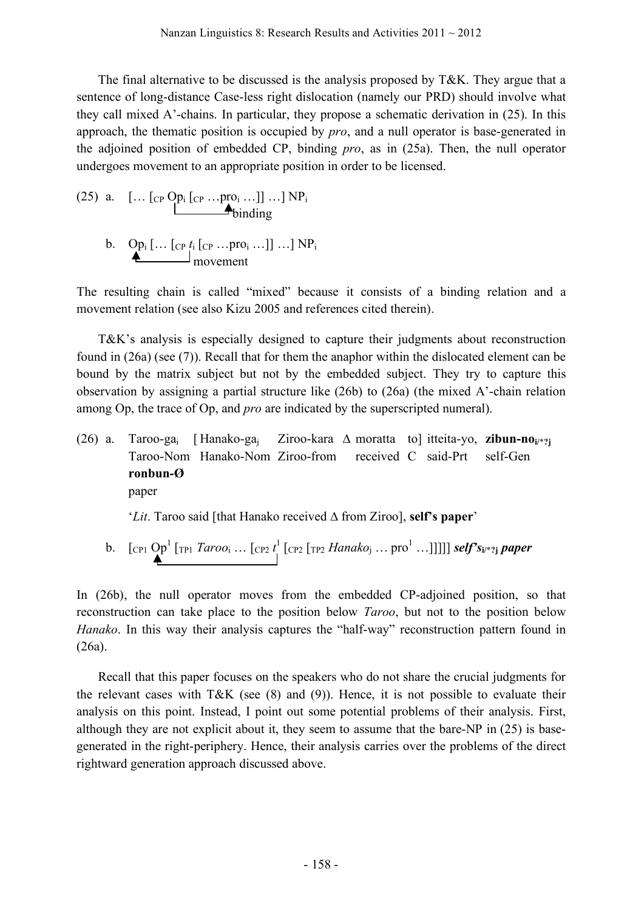The final alternative to be discussed is the analysis proposed by T&K. They argue that a sentence of long-distance Case-less right dislocation (namely our PRD) should involve what they call mixed A'-chains. In particular, they propose a schematic derivation in (25). In this approach, the thematic position is occupied by *pro*, and a null operator is base-generated in the adjoined position of embedded CP, binding *pro*, as in (25a). Then, the null operator undergoes movement to an appropriate position in order to be licensed.

(25) a. 
$$
[\dots [\text{cp } \text{Op}_i [_{\text{CP }} \dots \text{pro}_i \dots]] \dots ] \text{ NP}_i
$$
  
binding

b. Opi [… [CP *t*<sup>i</sup> [CP …proi …]] …] NPi movement

The resulting chain is called "mixed" because it consists of a binding relation and a movement relation (see also Kizu 2005 and references cited therein).

T&K's analysis is especially designed to capture their judgments about reconstruction found in (26a) (see (7)). Recall that for them the anaphor within the dislocated element can be bound by the matrix subject but not by the embedded subject. They try to capture this observation by assigning a partial structure like  $(26b)$  to  $(26a)$  (the mixed A'-chain relation among Op, the trace of Op, and *pro* are indicated by the superscripted numeral).

- (26) a. Taroo-gai [ Hanako-gaj Ziroo-kara ∆ moratta to] itteita-yo, **zibun-noi/**\***?j** Taroo-Nom Hanako-Nom Ziroo-from received C said-Prt self-Gen **ronbun-Ø** paper '*Lit*. Taroo said [that Hanako received ∆ from Ziroo], **self's paper**'
	- b. [CP1 Op <sup>1</sup> [TP1 *Taroo*<sup>i</sup> … [CP2 *t* <sup>1</sup> [CP2 [TP2 *Hanako*<sup>j</sup> … pro <sup>1</sup> …]]]]] *self's***i/**\***?j** *paper*

In (26b), the null operator moves from the embedded CP-adjoined position, so that reconstruction can take place to the position below *Taroo*, but not to the position below *Hanako*. In this way their analysis captures the "half-way" reconstruction pattern found in (26a).

Recall that this paper focuses on the speakers who do not share the crucial judgments for the relevant cases with  $T\&K$  (see (8) and (9)). Hence, it is not possible to evaluate their analysis on this point. Instead, I point out some potential problems of their analysis. First, although they are not explicit about it, they seem to assume that the bare-NP in (25) is basegenerated in the right-periphery. Hence, their analysis carries over the problems of the direct rightward generation approach discussed above.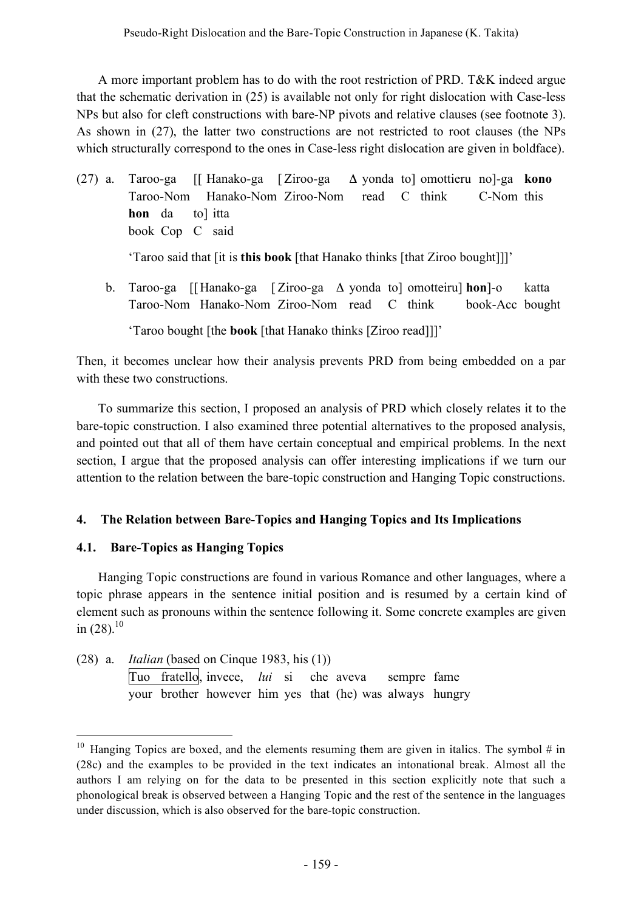A more important problem has to do with the root restriction of PRD. T&K indeed argue that the schematic derivation in (25) is available not only for right dislocation with Case-less NPs but also for cleft constructions with bare-NP pivots and relative clauses (see footnote 3). As shown in (27), the latter two constructions are not restricted to root clauses (the NPs which structurally correspond to the ones in Case-less right dislocation are given in boldface).

(27) a. Taroo-ga [[ Hanako-ga [ Ziroo-ga Δ yonda to] omottieru no]-ga **kono** Taroo-Nom Hanako-Nom Ziroo-Nom read C think C-Nom this **hon** da to] itta book Cop C said

'Taroo said that [it is **this book** [that Hanako thinks [that Ziroo bought]]]'

b. Taroo-ga [[Hanako-ga [ Ziroo-ga Δ yonda to] omotteiru] **hon**]-o katta Taroo-Nom Hanako-Nom Ziroo-Nom read C think book-Acc bought

'Taroo bought [the **book** [that Hanako thinks [Ziroo read]]]'

Then, it becomes unclear how their analysis prevents PRD from being embedded on a par with these two constructions.

To summarize this section, I proposed an analysis of PRD which closely relates it to the bare-topic construction. I also examined three potential alternatives to the proposed analysis, and pointed out that all of them have certain conceptual and empirical problems. In the next section, I argue that the proposed analysis can offer interesting implications if we turn our attention to the relation between the bare-topic construction and Hanging Topic constructions.

## **4. The Relation between Bare-Topics and Hanging Topics and Its Implications**

## **4.1. Bare-Topics as Hanging Topics**

Hanging Topic constructions are found in various Romance and other languages, where a topic phrase appears in the sentence initial position and is resumed by a certain kind of element such as pronouns within the sentence following it. Some concrete examples are given in  $(28).^{10}$ 

(28) a. *Italian* (based on Cinque 1983, his (1)) Tuo fratello, invece, *lui* si che aveva sempre fame your brother however him yes that (he) was always hungry

 $10$  Hanging Topics are boxed, and the elements resuming them are given in italics. The symbol # in (28c) and the examples to be provided in the text indicates an intonational break. Almost all the authors I am relying on for the data to be presented in this section explicitly note that such a phonological break is observed between a Hanging Topic and the rest of the sentence in the languages under discussion, which is also observed for the bare-topic construction.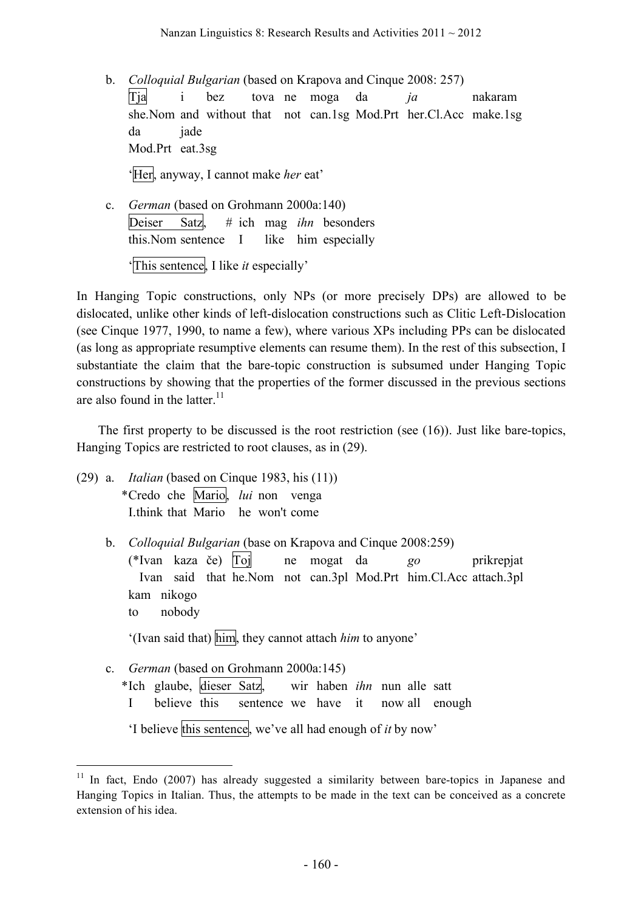b. *Colloquial Bulgarian* (based on Krapova and Cinque 2008: 257) Tja i bez tova ne moga da *ja* nakaram she.Nom and without that not can.1sg Mod.Prt her.Cl.Acc make.1sg da jade Mod.Prt eat.3sg 'Her, anyway, I cannot make *her* eat' c. *German* (based on Grohmann 2000a:140) Deiser Satz, # ich mag *ihn* besonders this. Nom sentence I like him especially

```
'This sentence, I like it especially'
```
In Hanging Topic constructions, only NPs (or more precisely DPs) are allowed to be dislocated, unlike other kinds of left-dislocation constructions such as Clitic Left-Dislocation (see Cinque 1977, 1990, to name a few), where various XPs including PPs can be dislocated (as long as appropriate resumptive elements can resume them). In the rest of this subsection, I substantiate the claim that the bare-topic construction is subsumed under Hanging Topic constructions by showing that the properties of the former discussed in the previous sections are also found in the latter.<sup>11</sup>

The first property to be discussed is the root restriction (see (16)). Just like bare-topics, Hanging Topics are restricted to root clauses, as in (29).

- (29) a. *Italian* (based on Cinque 1983, his (11)) \*Credo che Mario, *lui* non venga I.think that Mario he won't come
	- b. *Colloquial Bulgarian* (base on Krapova and Cinque 2008:259) (\*Ivan kaza če) Toj ne mogat da *go* prikrepjat Ivan said that he.Nom not can.3pl Mod.Prt him.Cl.Acc attach.3pl kam nikogo to nobody

'(Ivan said that) him, they cannot attach *him* to anyone'

c. *German* (based on Grohmann 2000a:145) \*Ich glaube, dieser Satz, wir haben *ihn* nun alle satt I believe this sentence we have it now all enough 'I believe this sentence, we've all had enough of *it* by now'

<sup>&</sup>lt;sup>11</sup> In fact, Endo (2007) has already suggested a similarity between bare-topics in Japanese and Hanging Topics in Italian. Thus, the attempts to be made in the text can be conceived as a concrete extension of his idea.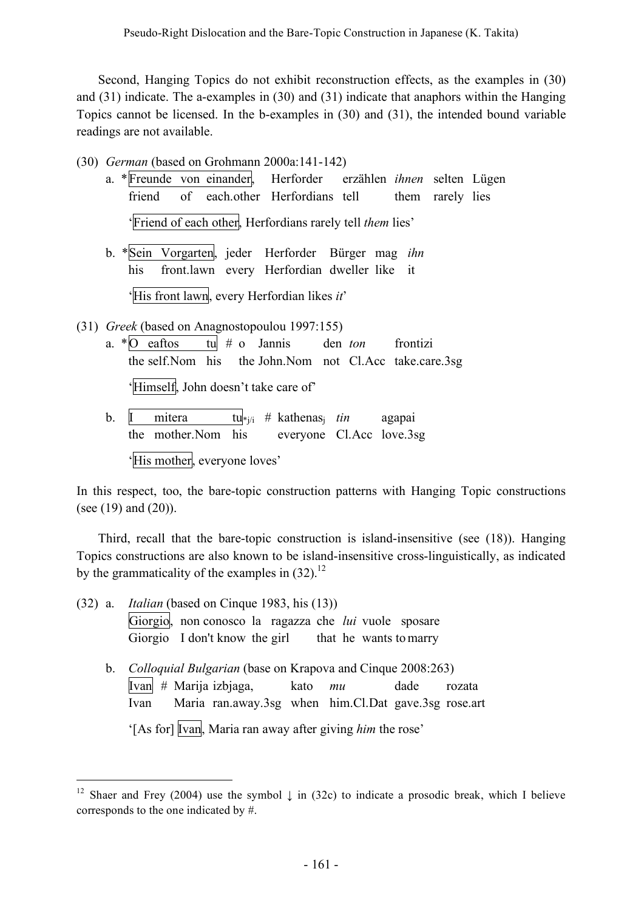Second, Hanging Topics do not exhibit reconstruction effects, as the examples in (30) and (31) indicate. The a-examples in (30) and (31) indicate that anaphors within the Hanging Topics cannot be licensed. In the b-examples in (30) and (31), the intended bound variable readings are not available.

- (30) *German* (based on Grohmann 2000a:141-142)
	- a. \*Freunde von einander, Herforder erzählen *ihnen* selten Lügen friend of each.other Herfordians tell them rarely lies 'Friend of each other, Herfordians rarely tell *them* lies'
	- b. \*Sein Vorgarten, jeder Herforder Bürger mag *ihn* his front.lawn every Herfordian dweller like it 'His front lawn, every Herfordian likes *it*'

(31) *Greek* (based on Anagnostopoulou 1997:155)

- a.  $\ast$ O eaftos tu  $\sharp$  o Jannis den *ton* frontizi the self.Nom his the John.Nom not Cl.Acc take.care.3sg 'Himself, John doesn't take care of'
- b. I mitera tu<sub>\*i/i</sub> # kathenas<sub>i</sub> *tin* agapai the mother.Nom his everyone Cl.Acc love.3sg 'His mother, everyone loves'

In this respect, too, the bare-topic construction patterns with Hanging Topic constructions (see (19) and (20)).

Third, recall that the bare-topic construction is island-insensitive (see (18)). Hanging Topics constructions are also known to be island-insensitive cross-linguistically, as indicated by the grammaticality of the examples in  $(32)^{12}$ 

| $(32)$ a. <i>Italian</i> (based on Cinque 1983, his $(13)$ ) |                                                                      |  |  |  |  |  |  |
|--------------------------------------------------------------|----------------------------------------------------------------------|--|--|--|--|--|--|
|                                                              | Giorgio, non conosco la ragazza che lui vuole sposare                |  |  |  |  |  |  |
|                                                              | Giorgio I don't know the girl that he wants to marry                 |  |  |  |  |  |  |
|                                                              |                                                                      |  |  |  |  |  |  |
|                                                              | b. <i>Colloquial Bulgarian</i> (base on Krapova and Cinque 2008:263) |  |  |  |  |  |  |
|                                                              | Ivan # Marija izbjaga,<br>kato <i>mu</i><br>dade<br>rozata           |  |  |  |  |  |  |
|                                                              | Ivan Maria ran.away.3sg when him.Cl.Dat gave.3sg rose.art            |  |  |  |  |  |  |
|                                                              | '[As for] Ivan, Maria ran away after giving him the rose'            |  |  |  |  |  |  |

<sup>&</sup>lt;sup>12</sup> Shaer and Frey (2004) use the symbol  $\downarrow$  in (32c) to indicate a prosodic break, which I believe corresponds to the one indicated by #.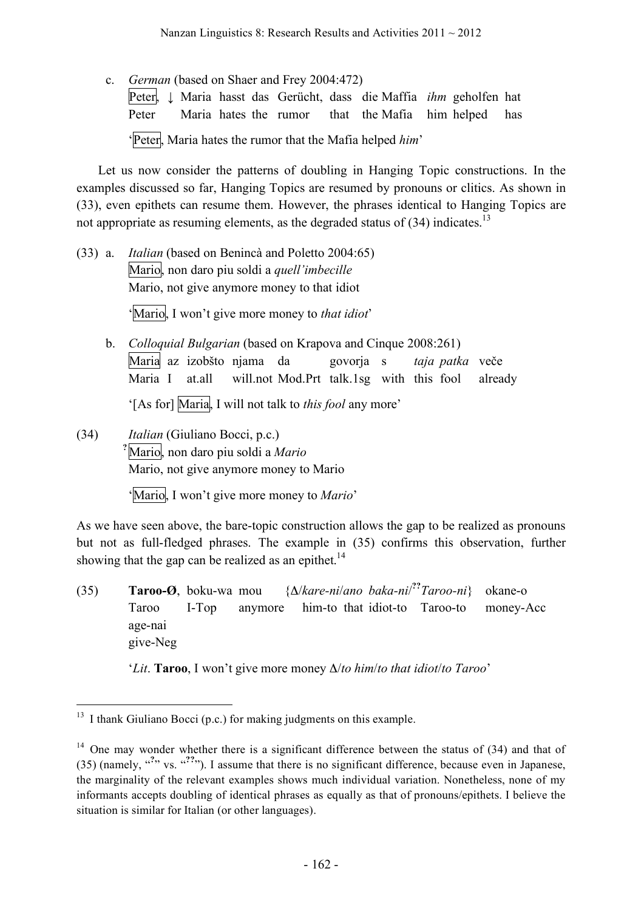c. *German* (based on Shaer and Frey 2004:472) Peter, ↓ Maria hasst das Gerücht, dass die Maffia *ihm* geholfen hat Peter Maria hates the rumor that the Mafia him helped has 'Peter, Maria hates the rumor that the Mafia helped *him*'

Let us now consider the patterns of doubling in Hanging Topic constructions. In the examples discussed so far, Hanging Topics are resumed by pronouns or clitics. As shown in (33), even epithets can resume them. However, the phrases identical to Hanging Topics are not appropriate as resuming elements, as the degraded status of  $(34)$  indicates.<sup>13</sup>

(33) a. *Italian* (based on Benincà and Poletto 2004:65) Mario, non daro piu soldi a *quell'imbecille* Mario, not give anymore money to that idiot

'Mario, I won't give more money to *that idiot*'

- b. *Colloquial Bulgarian* (based on Krapova and Cinque 2008:261) Maria az izobšto njama da govorja s *taja patka* veče Maria I at.all will.not Mod.Prt talk.1sg with this fool already '[As for] Maria, I will not talk to *this fool* any more'
- (34) *Italian* (Giuliano Bocci, p.c.) **?** Mario, non daro piu soldi a *Mario* Mario, not give anymore money to Mario

'Mario, I won't give more money to *Mario*'

As we have seen above, the bare-topic construction allows the gap to be realized as pronouns but not as full-fledged phrases. The example in (35) confirms this observation, further showing that the gap can be realized as an epithet.<sup>14</sup>

(35) **Taroo-Ø**, boku-wa mou {Δ/*kare-ni*/*ano baka-ni*/ **??** *Taroo-ni*} okane-o Taroo I-Top anymore him-to that idiot-to Taroo-to money-Acc age-nai give-Neg

'*Lit*. **Taroo**, I won't give more money Δ/*to him*/*to that idiot*/*to Taroo*'

<sup>&</sup>lt;sup>13</sup> I thank Giuliano Bocci (p.c.) for making judgments on this example.

 $14$  One may wonder whether there is a significant difference between the status of (34) and that of (35) (namely, "<sup>2</sup>" vs. "<sup>29</sup>"). I assume that there is no significant difference, because even in Japanese, the marginality of the relevant examples shows much individual variation. Nonetheless, none of my informants accepts doubling of identical phrases as equally as that of pronouns/epithets. I believe the situation is similar for Italian (or other languages).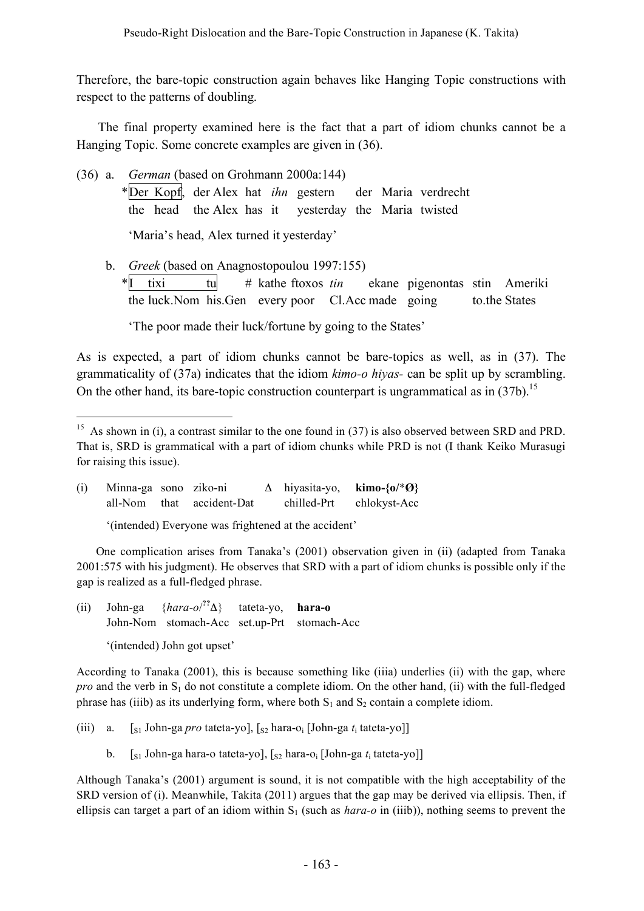Therefore, the bare-topic construction again behaves like Hanging Topic constructions with respect to the patterns of doubling.

The final property examined here is the fact that a part of idiom chunks cannot be a Hanging Topic. Some concrete examples are given in (36).

- (36) a. *German* (based on Grohmann 2000a:144) \*Der Kopf, der Alex hat *ihn* gestern der Maria verdrecht the head the Alex has it yesterday the Maria twisted 'Maria's head, Alex turned it yesterday'
	- b. *Greek* (based on Anagnostopoulou 1997:155)  $*$ I tixi tu  $\#$  kathe ftoxos *tin* ekane pigenontas stin Ameriki the luck.Nom his.Gen every poor Cl.Acc made going to.the States

'The poor made their luck/fortune by going to the States'

As is expected, a part of idiom chunks cannot be bare-topics as well, as in (37). The grammaticality of (37a) indicates that the idiom *kimo-o hiyas-* can be split up by scrambling. On the other hand, its bare-topic construction counterpart is ungrammatical as in  $(37b)$ .<sup>15</sup>

(i) Minna-ga sono ziko-ni Δ hiyasita-yo, **kimo-{o/**\***Ø}** all-Nom that accident-Dat chilled-Prt chlokyst-Acc

'(intended) Everyone was frightened at the accident'

One complication arises from Tanaka's (2001) observation given in (ii) (adapted from Tanaka 2001:575 with his judgment). He observes that SRD with a part of idiom chunks is possible only if the gap is realized as a full-fledged phrase.

(ii) John-ga {*hara-o*/  ${hara-o'}^2\Delta$ Δ} tateta-yo, **hara-o** John-Nom stomach-Acc set.up-Prt stomach-Acc

'(intended) John got upset'

According to Tanaka (2001), this is because something like (iiia) underlies (ii) with the gap, where *pro* and the verb in  $S_1$  do not constitute a complete idiom. On the other hand, (ii) with the full-fledged phrase has (iiib) as its underlying form, where both  $S_1$  and  $S_2$  contain a complete idiom.

- (iii) a.  $[s_1 \text{ John-ga } pro \text{ tated-yo}], [s_2 \text{ hara-o}_i \text{ [John-ga } t_i \text{ tated-yo}]]$ 
	- b.  $[s_1]$  John-ga hara-o tateta-yo],  $[s_2]$  hara-o<sub>i</sub> [John-ga  $t_i$  tateta-yo]]

Although Tanaka's (2001) argument is sound, it is not compatible with the high acceptability of the SRD version of (i). Meanwhile, Takita (2011) argues that the gap may be derived via ellipsis. Then, if ellipsis can target a part of an idiom within  $S_1$  (such as *hara-o* in (iiib)), nothing seems to prevent the

<sup>&</sup>lt;sup>15</sup> As shown in (i), a contrast similar to the one found in (37) is also observed between SRD and PRD. That is, SRD is grammatical with a part of idiom chunks while PRD is not (I thank Keiko Murasugi for raising this issue).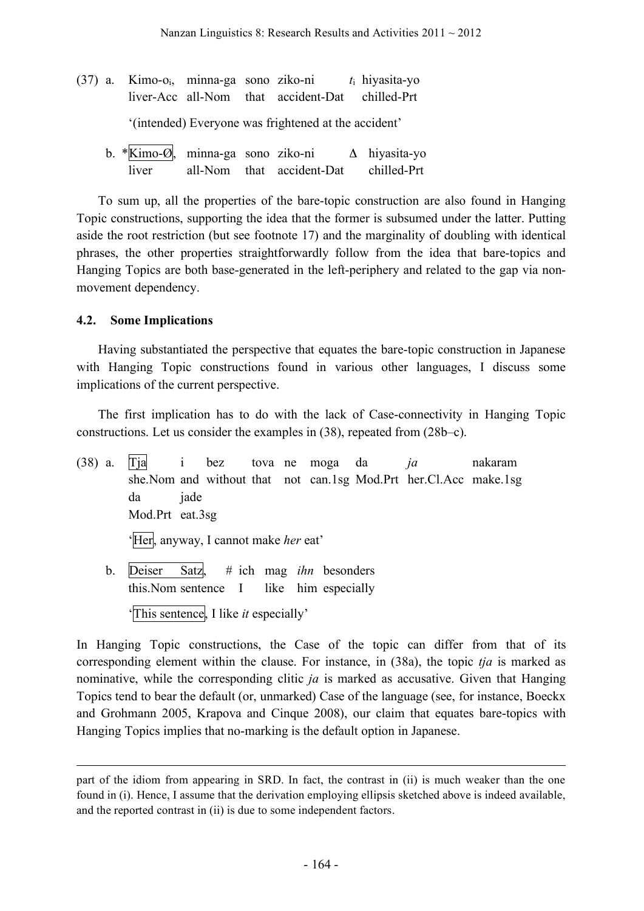- (37) a. Kimo-oi, minna-ga sono ziko-ni *t*<sup>i</sup> hiyasita-yo liver-Acc all-Nom that accident-Dat chilled-Prt '(intended) Everyone was frightened at the accident'
	- b. \*Kimo-Ø, minna-ga sono ziko-ni Δ hiyasita-yo liver all-Nom that accident-Dat chilled-Prt

To sum up, all the properties of the bare-topic construction are also found in Hanging Topic constructions, supporting the idea that the former is subsumed under the latter. Putting aside the root restriction (but see footnote 17) and the marginality of doubling with identical phrases, the other properties straightforwardly follow from the idea that bare-topics and Hanging Topics are both base-generated in the left-periphery and related to the gap via nonmovement dependency.

### **4.2. Some Implications**

1

Having substantiated the perspective that equates the bare-topic construction in Japanese with Hanging Topic constructions found in various other languages, I discuss some implications of the current perspective.

The first implication has to do with the lack of Case-connectivity in Hanging Topic constructions. Let us consider the examples in (38), repeated from (28b–c).

(38) a. Tja i bez tova ne moga da *ja* nakaram she.Nom and without that not can.1sg Mod.Prt her.Cl.Acc make.1sg da jade Mod.Prt eat.3sg 'Her, anyway, I cannot make *her* eat' b. Deiser Satz, # ich mag *ihn* besonders this. Nom sentence I like him especially

'This sentence, I like *it* especially'

In Hanging Topic constructions, the Case of the topic can differ from that of its corresponding element within the clause. For instance, in (38a), the topic *tja* is marked as nominative, while the corresponding clitic *ja* is marked as accusative. Given that Hanging Topics tend to bear the default (or, unmarked) Case of the language (see, for instance, Boeckx and Grohmann 2005, Krapova and Cinque 2008), our claim that equates bare-topics with Hanging Topics implies that no-marking is the default option in Japanese.

part of the idiom from appearing in SRD. In fact, the contrast in (ii) is much weaker than the one found in (i). Hence, I assume that the derivation employing ellipsis sketched above is indeed available, and the reported contrast in (ii) is due to some independent factors.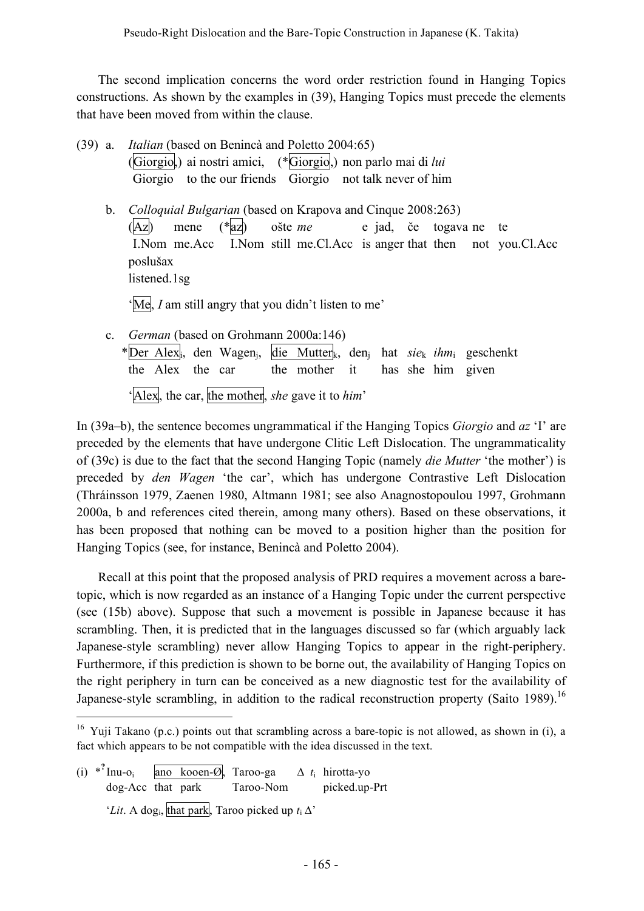The second implication concerns the word order restriction found in Hanging Topics constructions. As shown by the examples in (39), Hanging Topics must precede the elements that have been moved from within the clause.

(39) a. *Italian* (based on Benincà and Poletto 2004:65) (Giorgio,) ai nostri amici, (\*Giorgio,) non parlo mai di *lui* Giorgio to the our friends Giorgio not talk never of him b. *Colloquial Bulgarian* (based on Krapova and Cinque 2008:263) (Az) mene (\*az) ošte *me* e jad, če togava ne te

I.Nom me.Acc I.Nom still me.Cl.Acc is anger that then not you.Cl.Acc poslušax

listened.1sg

'Me, *I* am still angry that you didn't listen to me'

c. *German* (based on Grohmann 2000a:146) \*Der Alexi, den Wagenj, die Mutterk, denj hat *sie*<sup>k</sup> *ihm*<sup>i</sup> geschenkt the Alex the car the mother it has she him given 'Alex, the car, the mother, *she* gave it to *him*'

In (39a–b), the sentence becomes ungrammatical if the Hanging Topics *Giorgio* and *az* 'I' are preceded by the elements that have undergone Clitic Left Dislocation. The ungrammaticality of (39c) is due to the fact that the second Hanging Topic (namely *die Mutter* 'the mother') is preceded by *den Wagen* 'the car', which has undergone Contrastive Left Dislocation (Thráinsson 1979, Zaenen 1980, Altmann 1981; see also Anagnostopoulou 1997, Grohmann 2000a, b and references cited therein, among many others). Based on these observations, it has been proposed that nothing can be moved to a position higher than the position for Hanging Topics (see, for instance, Benincà and Poletto 2004).

Recall at this point that the proposed analysis of PRD requires a movement across a baretopic, which is now regarded as an instance of a Hanging Topic under the current perspective (see (15b) above). Suppose that such a movement is possible in Japanese because it has scrambling. Then, it is predicted that in the languages discussed so far (which arguably lack Japanese-style scrambling) never allow Hanging Topics to appear in the right-periphery. Furthermore, if this prediction is shown to be borne out, the availability of Hanging Topics on the right periphery in turn can be conceived as a new diagnostic test for the availability of Japanese-style scrambling, in addition to the radical reconstruction property (Saito 1989).<sup>16</sup>

(i) \* **?** ano kooen-Ø, Taroo-ga  $\Delta t_i$  hirotta-yo dog-Acc that park Taroo-Nom picked.up-Prt '*Lit*. A dog<sub>i</sub>, that park, Taroo picked up  $t_i \Delta$ '

<sup>&</sup>lt;sup>16</sup> Yuji Takano (p.c.) points out that scrambling across a bare-topic is not allowed, as shown in (i), a fact which appears to be not compatible with the idea discussed in the text.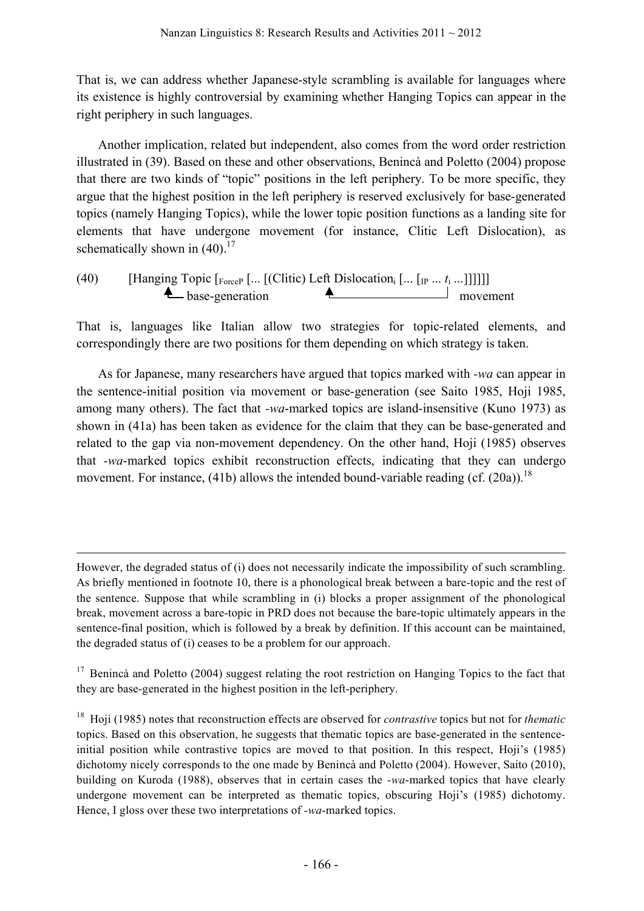That is, we can address whether Japanese-style scrambling is available for languages where its existence is highly controversial by examining whether Hanging Topics can appear in the right periphery in such languages.

Another implication, related but independent, also comes from the word order restriction illustrated in (39). Based on these and other observations, Benincà and Poletto (2004) propose that there are two kinds of "topic" positions in the left periphery. To be more specific, they argue that the highest position in the left periphery is reserved exclusively for base-generated topics (namely Hanging Topics), while the lower topic position functions as a landing site for elements that have undergone movement (for instance, Clitic Left Dislocation), as schematically shown in  $(40)$ .<sup>17</sup>

(40) [Hanging Topic 
$$
[r_{\text{orceP}}[...][(\text{Clitic}) \text{ Left Dislocation}_i [... [p ... t_i ...]]]]]
$$
]\n\n# base-generation\n\n#

That is, languages like Italian allow two strategies for topic-related elements, and correspondingly there are two positions for them depending on which strategy is taken.

As for Japanese, many researchers have argued that topics marked with *-wa* can appear in the sentence-initial position via movement or base-generation (see Saito 1985, Hoji 1985, among many others). The fact that *-wa*-marked topics are island-insensitive (Kuno 1973) as shown in (41a) has been taken as evidence for the claim that they can be base-generated and related to the gap via non-movement dependency. On the other hand, Hoji (1985) observes that *-wa*-marked topics exhibit reconstruction effects, indicating that they can undergo movement. For instance, (41b) allows the intended bound-variable reading (cf.  $(20a)$ ).<sup>18</sup>

<u>.</u>

However, the degraded status of (i) does not necessarily indicate the impossibility of such scrambling. As briefly mentioned in footnote 10, there is a phonological break between a bare-topic and the rest of the sentence. Suppose that while scrambling in (i) blocks a proper assignment of the phonological break, movement across a bare-topic in PRD does not because the bare-topic ultimately appears in the sentence-final position, which is followed by a break by definition. If this account can be maintained, the degraded status of (i) ceases to be a problem for our approach.

 $17$  Benincà and Poletto (2004) suggest relating the root restriction on Hanging Topics to the fact that they are base-generated in the highest position in the left-periphery.

<sup>18</sup> Hoji (1985) notes that reconstruction effects are observed for *contrastive* topics but not for *thematic* topics. Based on this observation, he suggests that thematic topics are base-generated in the sentenceinitial position while contrastive topics are moved to that position. In this respect, Hoji's (1985) dichotomy nicely corresponds to the one made by Benincà and Poletto (2004). However, Saito (2010), building on Kuroda (1988), observes that in certain cases the *-wa*-marked topics that have clearly undergone movement can be interpreted as thematic topics, obscuring Hoji's (1985) dichotomy. Hence, I gloss over these two interpretations of *-wa*-marked topics.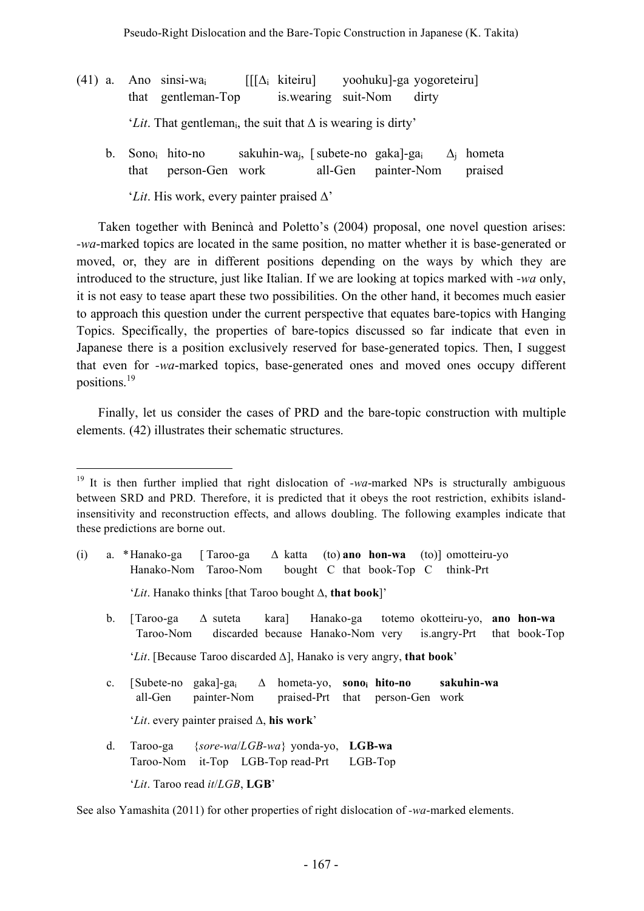- (41) a. Ano sinsi-wa<sub>i</sub> [[[ $\Delta$ <sub>i</sub> kiteiru] yoohuku]-ga yogoreteiru] that gentleman-Top is.wearing suit-Nom dirty '*Lit*. That gentleman<sub>i</sub>, the suit that  $\Delta$  is wearing is dirty'
	- b. Sonoi hito-no sakuhin-waj, [subete-no gaka]-gai ∆<sup>j</sup> hometa that person-Gen work all-Gen painter-Nom praised '*Lit*. His work, every painter praised ∆'

Taken together with Benincà and Poletto's (2004) proposal, one novel question arises: *-wa*-marked topics are located in the same position, no matter whether it is base-generated or moved, or, they are in different positions depending on the ways by which they are introduced to the structure, just like Italian. If we are looking at topics marked with *-wa* only, it is not easy to tease apart these two possibilities. On the other hand, it becomes much easier to approach this question under the current perspective that equates bare-topics with Hanging Topics. Specifically, the properties of bare-topics discussed so far indicate that even in Japanese there is a position exclusively reserved for base-generated topics. Then, I suggest that even for *-wa*-marked topics, base-generated ones and moved ones occupy different positions. 19

Finally, let us consider the cases of PRD and the bare-topic construction with multiple elements. (42) illustrates their schematic structures.

(i) a. \*Hanako-ga [ Taroo-ga ∆ katta (to) **ano hon-wa** (to)] omotteiru-yo Hanako-Nom Taroo-Nom bought C that book-Top C think-Prt '*Lit*. Hanako thinks [that Taroo bought ∆, **that book**]' b. [Taroo-ga ∆ suteta kara] Hanako-ga totemo okotteiru-yo, **ano hon-wa** Taroo-Nom discarded because Hanako-Nom very is.angry-Prt that book-Top '*Lit*. [Because Taroo discarded ∆], Hanako is very angry, **that book**' c. [Subete-no gaka]-gai ∆ hometa-yo, **sonoi hito-no sakuhin-wa** all-Gen painter-Nom praised-Prt that person-Gen work '*Lit*. every painter praised ∆, **his work**' d. Taroo-ga {*sore-wa*/*LGB-wa*} yonda-yo, **LGB-wa** Taroo-Nom it-Top LGB-Top read-Prt LGB-Top '*Lit*. Taroo read *it*/*LGB*, **LGB**'

See also Yamashita (2011) for other properties of right dislocation of *-wa*-marked elements.

<sup>&</sup>lt;sup>19</sup> It is then further implied that right dislocation of *-wa-marked NPs* is structurally ambiguous between SRD and PRD. Therefore, it is predicted that it obeys the root restriction, exhibits islandinsensitivity and reconstruction effects, and allows doubling. The following examples indicate that these predictions are borne out.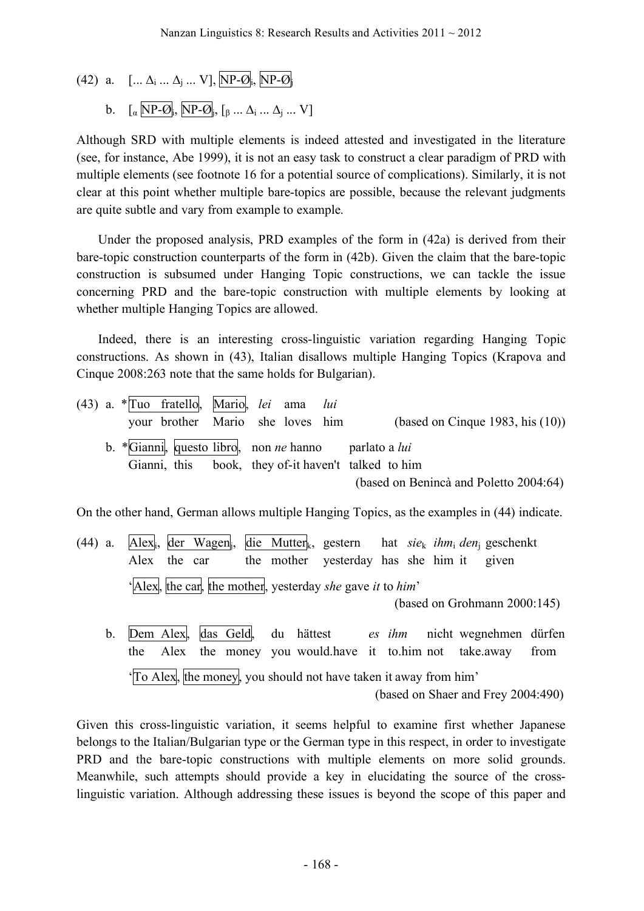(42) a.  $[\dots \Delta_i \dots \Delta_j \dots V], \overline{NP \cdot \emptyset}$ ;  $\overline{NP \cdot \emptyset}$ b.  $\left[\alpha \frac{\overline{NP}\cdot\overline{O}}{N\overline{P}\cdot\overline{O}}\right]$ ,  $\left[\beta \dots \Delta_i \dots \Delta_j \dots V\right]$ 

Although SRD with multiple elements is indeed attested and investigated in the literature (see, for instance, Abe 1999), it is not an easy task to construct a clear paradigm of PRD with multiple elements (see footnote 16 for a potential source of complications). Similarly, it is not clear at this point whether multiple bare-topics are possible, because the relevant judgments are quite subtle and vary from example to example.

Under the proposed analysis, PRD examples of the form in (42a) is derived from their bare-topic construction counterparts of the form in (42b). Given the claim that the bare-topic construction is subsumed under Hanging Topic constructions, we can tackle the issue concerning PRD and the bare-topic construction with multiple elements by looking at whether multiple Hanging Topics are allowed.

Indeed, there is an interesting cross-linguistic variation regarding Hanging Topic constructions. As shown in (43), Italian disallows multiple Hanging Topics (Krapova and Cinque 2008:263 note that the same holds for Bulgarian).

|  | (43) a. * Tuo fratello, Mario, lei ama lui<br>your brother Mario she loves him |  |  | (based on Cinque 1983, his $(10)$ )                                                                                       |
|--|--------------------------------------------------------------------------------|--|--|---------------------------------------------------------------------------------------------------------------------------|
|  |                                                                                |  |  | b. *Gianni, questo libro, non <i>ne</i> hanno parlato a <i>lui</i><br>Gianni, this book, they of-it haven't talked to him |
|  |                                                                                |  |  | (based on Benincà and Poletto 2004:64)                                                                                    |

On the other hand, German allows multiple Hanging Topics, as the examples in (44) indicate.

- (44) a. Alexi, der Wagenj, die Mutterk, gestern hat *sie*<sup>k</sup> *ihm*<sup>i</sup> *den*<sup>j</sup> geschenkt Alex the car the mother yesterday has she him it given 'Alex, the car, the mother, yesterday *she* gave *it* to *him*' (based on Grohmann 2000:145)
	- b. Dem Alex, das Geld, du hättest *es ihm* nicht wegnehmen dürfen the Alex the money you would.have it to.him not take.away from 'To Alex, the money, you should not have taken it away from him' (based on Shaer and Frey 2004:490)

Given this cross-linguistic variation, it seems helpful to examine first whether Japanese belongs to the Italian/Bulgarian type or the German type in this respect, in order to investigate PRD and the bare-topic constructions with multiple elements on more solid grounds. Meanwhile, such attempts should provide a key in elucidating the source of the crosslinguistic variation. Although addressing these issues is beyond the scope of this paper and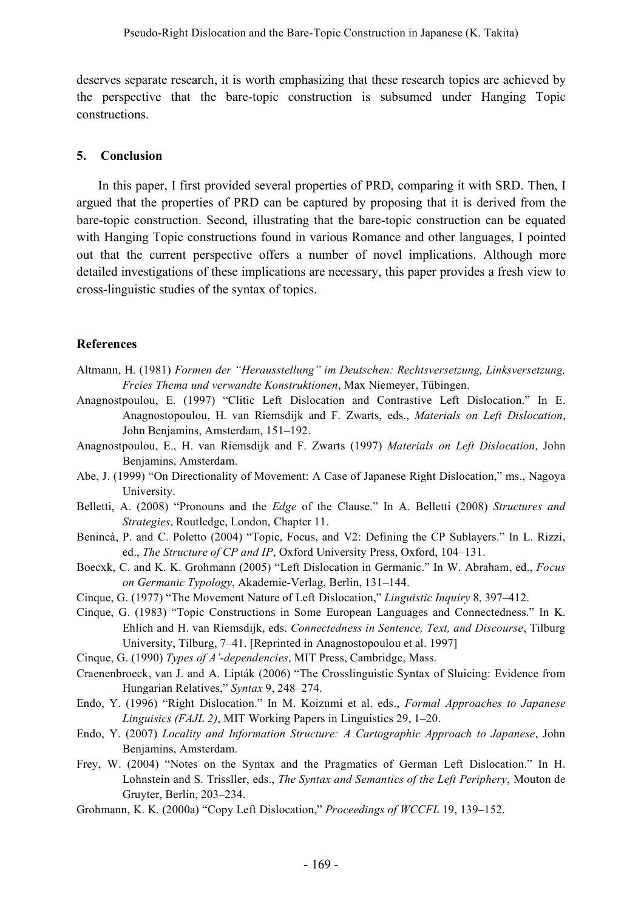deserves separate research, it is worth emphasizing that these research topics are achieved by the perspective that the bare-topic construction is subsumed under Hanging Topic constructions.

### **5. Conclusion**

In this paper, I first provided several properties of PRD, comparing it with SRD. Then, I argued that the properties of PRD can be captured by proposing that it is derived from the bare-topic construction. Second, illustrating that the bare-topic construction can be equated with Hanging Topic constructions found in various Romance and other languages, I pointed out that the current perspective offers a number of novel implications. Although more detailed investigations of these implications are necessary, this paper provides a fresh view to cross-linguistic studies of the syntax of topics.

#### **References**

- Altmann, H. (1981) *Formen der "Herausstellung" im Deutschen: Rechtsversetzung, Linksversetzung, Freies Thema und verwandte Konstruktionen*, Max Niemeyer, Tübingen.
- Anagnostpoulou, E. (1997) "Clitic Left Dislocation and Contrastive Left Dislocation." In E. Anagnostopoulou, H. van Riemsdijk and F. Zwarts, eds., *Materials on Left Dislocation*, John Benjamins, Amsterdam, 151–192.
- Anagnostpoulou, E., H. van Riemsdijk and F. Zwarts (1997) *Materials on Left Dislocation*, John Benjamins, Amsterdam.
- Abe, J. (1999) "On Directionality of Movement: A Case of Japanese Right Dislocation," ms., Nagoya University.
- Belletti, A. (2008) "Pronouns and the *Edge* of the Clause." In A. Belletti (2008) *Structures and Strategies*, Routledge, London, Chapter 11.
- Benincà, P. and C. Poletto (2004) "Topic, Focus, and V2: Defining the CP Sublayers." In L. Rizzi, ed., *The Structure of CP and IP*, Oxford University Press, Oxford, 104–131.
- Boecxk, C. and K. K. Grohmann (2005) "Left Dislocation in Germanic." In W. Abraham, ed., *Focus on Germanic Typology*, Akademie-Verlag, Berlin, 131–144.
- Cinque, G. (1977) "The Movement Nature of Left Dislocation," *Linguistic Inquiry* 8, 397–412.
- Cinque, G. (1983) "Topic Constructions in Some European Languages and Connectedness." In K. Ehlich and H. van Riemsdijk, eds. *Connectedness in Sentence, Text, and Discourse*, Tilburg University, Tilburg, 7–41. [Reprinted in Anagnostopoulou et al. 1997]
- Cinque, G. (1990) *Types of A'-dependencies*, MIT Press, Cambridge, Mass.
- Craenenbroeck, van J. and A. Lipták (2006) "The Crosslinguistic Syntax of Sluicing: Evidence from Hungarian Relatives," *Syntax* 9, 248–274.
- Endo, Y. (1996) "Right Dislocation." In M. Koizumi et al. eds., *Formal Approaches to Japanese Linguisics (FAJL 2)*, MIT Working Papers in Linguistics 29, 1–20.
- Endo, Y. (2007) *Locality and Information Structure: A Cartographic Approach to Japanese*, John Benjamins, Amsterdam.
- Frey, W. (2004) "Notes on the Syntax and the Pragmatics of German Left Dislocation." In H. Lohnstein and S. Trissller, eds., *The Syntax and Semantics of the Left Periphery*, Mouton de Gruyter, Berlin, 203–234.
- Grohmann, K. K. (2000a) "Copy Left Dislocation," *Proceedings of WCCFL* 19, 139–152.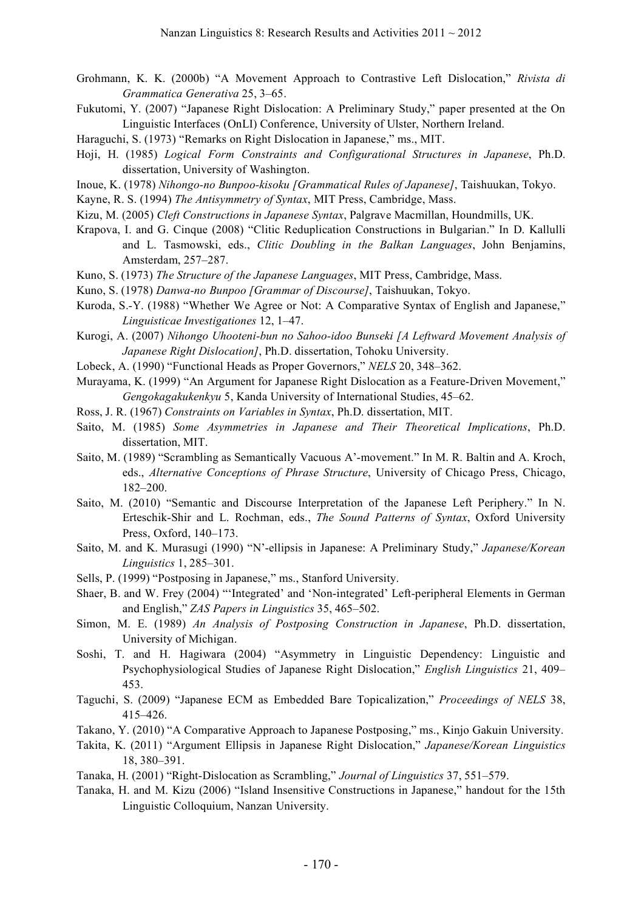- Grohmann, K. K. (2000b) "A Movement Approach to Contrastive Left Dislocation," *Rivista di Grammatica Generativa* 25, 3–65.
- Fukutomi, Y. (2007) "Japanese Right Dislocation: A Preliminary Study," paper presented at the On Linguistic Interfaces (OnLI) Conference, University of Ulster, Northern Ireland.
- Haraguchi, S. (1973) "Remarks on Right Dislocation in Japanese," ms., MIT.
- Hoji, H. (1985) *Logical Form Constraints and Configurational Structures in Japanese*, Ph.D. dissertation, University of Washington.
- Inoue, K. (1978) *Nihongo-no Bunpoo-kisoku [Grammatical Rules of Japanese]*, Taishuukan, Tokyo.
- Kayne, R. S. (1994) *The Antisymmetry of Syntax*, MIT Press, Cambridge, Mass.
- Kizu, M. (2005) *Cleft Constructions in Japanese Syntax*, Palgrave Macmillan, Houndmills, UK.
- Krapova, I. and G. Cinque (2008) "Clitic Reduplication Constructions in Bulgarian." In D. Kallulli and L. Tasmowski, eds., *Clitic Doubling in the Balkan Languages*, John Benjamins, Amsterdam, 257–287.
- Kuno, S. (1973) *The Structure of the Japanese Languages*, MIT Press, Cambridge, Mass.
- Kuno, S. (1978) *Danwa-no Bunpoo [Grammar of Discourse]*, Taishuukan, Tokyo.
- Kuroda, S.-Y. (1988) "Whether We Agree or Not: A Comparative Syntax of English and Japanese," *Linguisticae Investigationes* 12, 1–47.
- Kurogi, A. (2007) *Nihongo Uhooteni-bun no Sahoo-idoo Bunseki [A Leftward Movement Analysis of Japanese Right Dislocation]*, Ph.D. dissertation, Tohoku University.
- Lobeck, A. (1990) "Functional Heads as Proper Governors," *NELS* 20, 348–362.
- Murayama, K. (1999) "An Argument for Japanese Right Dislocation as a Feature-Driven Movement," *Gengokagakukenkyu* 5, Kanda University of International Studies, 45–62.
- Ross, J. R. (1967) *Constraints on Variables in Syntax*, Ph.D. dissertation, MIT.
- Saito, M. (1985) *Some Asymmetries in Japanese and Their Theoretical Implications*, Ph.D. dissertation, MIT.
- Saito, M. (1989) "Scrambling as Semantically Vacuous A'-movement." In M. R. Baltin and A. Kroch, eds., *Alternative Conceptions of Phrase Structure*, University of Chicago Press, Chicago, 182–200.
- Saito, M. (2010) "Semantic and Discourse Interpretation of the Japanese Left Periphery." In N. Erteschik-Shir and L. Rochman, eds., *The Sound Patterns of Syntax*, Oxford University Press, Oxford, 140–173.
- Saito, M. and K. Murasugi (1990) "N'-ellipsis in Japanese: A Preliminary Study," *Japanese/Korean Linguistics* 1, 285–301.
- Sells, P. (1999) "Postposing in Japanese," ms., Stanford University.
- Shaer, B. and W. Frey (2004) "'Integrated' and 'Non-integrated' Left-peripheral Elements in German and English," *ZAS Papers in Linguistics* 35, 465–502.
- Simon, M. E. (1989) *An Analysis of Postposing Construction in Japanese*, Ph.D. dissertation, University of Michigan.
- Soshi, T. and H. Hagiwara (2004) "Asymmetry in Linguistic Dependency: Linguistic and Psychophysiological Studies of Japanese Right Dislocation," *English Linguistics* 21, 409– 453.
- Taguchi, S. (2009) "Japanese ECM as Embedded Bare Topicalization," *Proceedings of NELS* 38, 415–426.
- Takano, Y. (2010) "A Comparative Approach to Japanese Postposing," ms., Kinjo Gakuin University.
- Takita, K. (2011) "Argument Ellipsis in Japanese Right Dislocation," *Japanese/Korean Linguistics* 18, 380–391.
- Tanaka, H. (2001) "Right-Dislocation as Scrambling," *Journal of Linguistics* 37, 551–579.
- Tanaka, H. and M. Kizu (2006) "Island Insensitive Constructions in Japanese," handout for the 15th Linguistic Colloquium, Nanzan University.